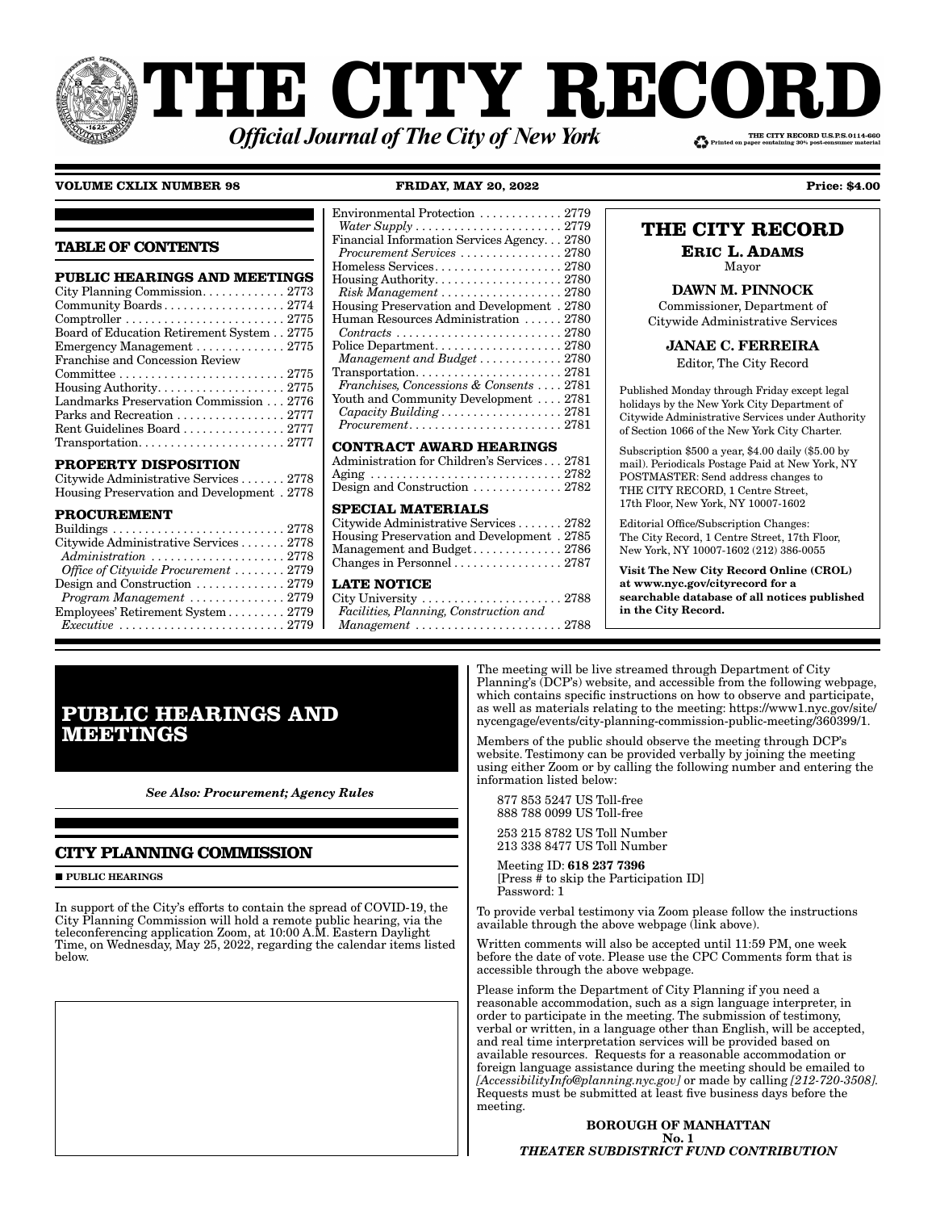# **THE CITY RECOI** THE CITY RECORD U.S.P.S.0114-660 **Official Journal of The City of New York**

# **VOLUME CXLIX NUMBER 98 FRIDAY, MAY 20, 2022 Price: \$4.00**

**TABLE OF CONTENTS**

| <b>PUBLIC HEARINGS AND MEETINGS</b>                                               |
|-----------------------------------------------------------------------------------|
|                                                                                   |
|                                                                                   |
| $Comptroller \ldots \ldots \ldots \ldots \ldots \ldots \ldots \ldots \ldots 2775$ |
| Board of Education Retirement System 2775                                         |
| Emergency Management $\ldots \ldots \ldots \ldots 2775$                           |
| Franchise and Concession Review                                                   |
|                                                                                   |
|                                                                                   |
| Landmarks Preservation Commission 2776                                            |
| Parks and Recreation  2777                                                        |
| Rent Guidelines Board  2777                                                       |
| $Transportation. \ldots \ldots \ldots \ldots \ldots \ldots \ldots 2777$           |
|                                                                                   |

# **PROPERTY DISPOSITION**

| Citywide Administrative Services 2778      |  |
|--------------------------------------------|--|
| Housing Preservation and Development. 2778 |  |

# **PROCUREMENT**

| Citywide Administrative Services 2778                      |  |
|------------------------------------------------------------|--|
|                                                            |  |
| Office of Citywide Procurement  2779                       |  |
| Design and Construction $\ldots \ldots \ldots \ldots 2779$ |  |
| $Program$ Management $\ldots \ldots \ldots \ldots 2779$    |  |
| Employees' Retirement System 2779                          |  |
|                                                            |  |

# **CONTRACT AWARD HEARINGS**

| Administration for Children's Services 2781                |  |
|------------------------------------------------------------|--|
| Aging 2782                                                 |  |
| Design and Construction $\ldots \ldots \ldots \ldots 2782$ |  |

# **SPECIAL MATERIALS**

| Citywide Administrative Services 2782                   |  |
|---------------------------------------------------------|--|
| Housing Preservation and Development. 2785              |  |
| Management and Budget 2786                              |  |
| Changes in Personnel $\ldots \ldots \ldots \ldots 2787$ |  |

# **LATE NOTICE**

City University . . . . . . . . . . . . . . . . . . . . . . 2788 *Facilities, Planning, Construction and Management* . . . . . . . . . . . . . . . . . . . . . . . 2788

# **THE CITY RECORD**

**ERIC L. ADAMS** Mayor

# DAWN M. PINNOCK

Commissioner, Department of Citywide Administrative Services

# JANAE C. FERREIRA

Editor, The City Record

Published Monday through Friday except legal holidays by the New York City Department of Citywide Administrative Services under Authority of Section 1066 of the New York City Charter.

Subscription \$500 a year, \$4.00 daily (\$5.00 by mail). Periodicals Postage Paid at New York, NY POSTMASTER: Send address changes to THE CITY RECORD, 1 Centre Street, 17th Floor, New York, NY 10007-1602

Editorial Office/Subscription Changes: The City Record, 1 Centre Street, 17th Floor, New York, NY 10007-1602 (212) 386-0055

Visit The New City Record Online (CROL) at www.nyc.gov/cityrecord for a searchable database of all notices published in the City Record.

# **PUBLIC HEARINGS AND MEETINGS**

*See Also: Procurement; Agency Rules*

# **CITY PLANNING COMMISSION**

**PUBLIC HEARINGS** 

In support of the City's efforts to contain the spread of COVID-19, the City Planning Commission will hold a remote public hearing, via the teleconferencing application Zoom, at 10:00 A.M. Eastern Daylight Time, on Wednesday, May 25, 2022, regarding the calendar items listed below.

The meeting will be live streamed through Department of City Planning's (DCP's) website, and accessible from the following webpage, which contains specific instructions on how to observe and participate, as well as materials relating to the meeting: https://www1.nyc.gov/site/ nycengage/events/city-planning-commission-public-meeting/360399/1.

Members of the public should observe the meeting through DCP's website. Testimony can be provided verbally by joining the meeting using either Zoom or by calling the following number and entering the information listed below:

 877 853 5247 US Toll-free 888 788 0099 US Toll-free

 253 215 8782 US Toll Number 213 338 8477 US Toll Number

 Meeting ID: 618 237 7396 [Press # to skip the Participation ID] Password: 1

To provide verbal testimony via Zoom please follow the instructions available through the above webpage (link above).

Written comments will also be accepted until 11:59 PM, one week before the date of vote. Please use the CPC Comments form that is accessible through the above webpage.

Please inform the Department of City Planning if you need a reasonable accommodation, such as a sign language interpreter, in order to participate in the meeting. The submission of testimony, verbal or written, in a language other than English, will be accepted, and real time interpretation services will be provided based on available resources. Requests for a reasonable accommodation or foreign language assistance during the meeting should be emailed to *[AccessibilityInfo@planning.nyc.gov]* or made by calling *[212-720-3508].* Requests must be submitted at least five business days before the meeting.

#### BOROUGH OF MANHATTAN No. 1 *THEATER SUBDISTRICT FUND CONTRIBUTION*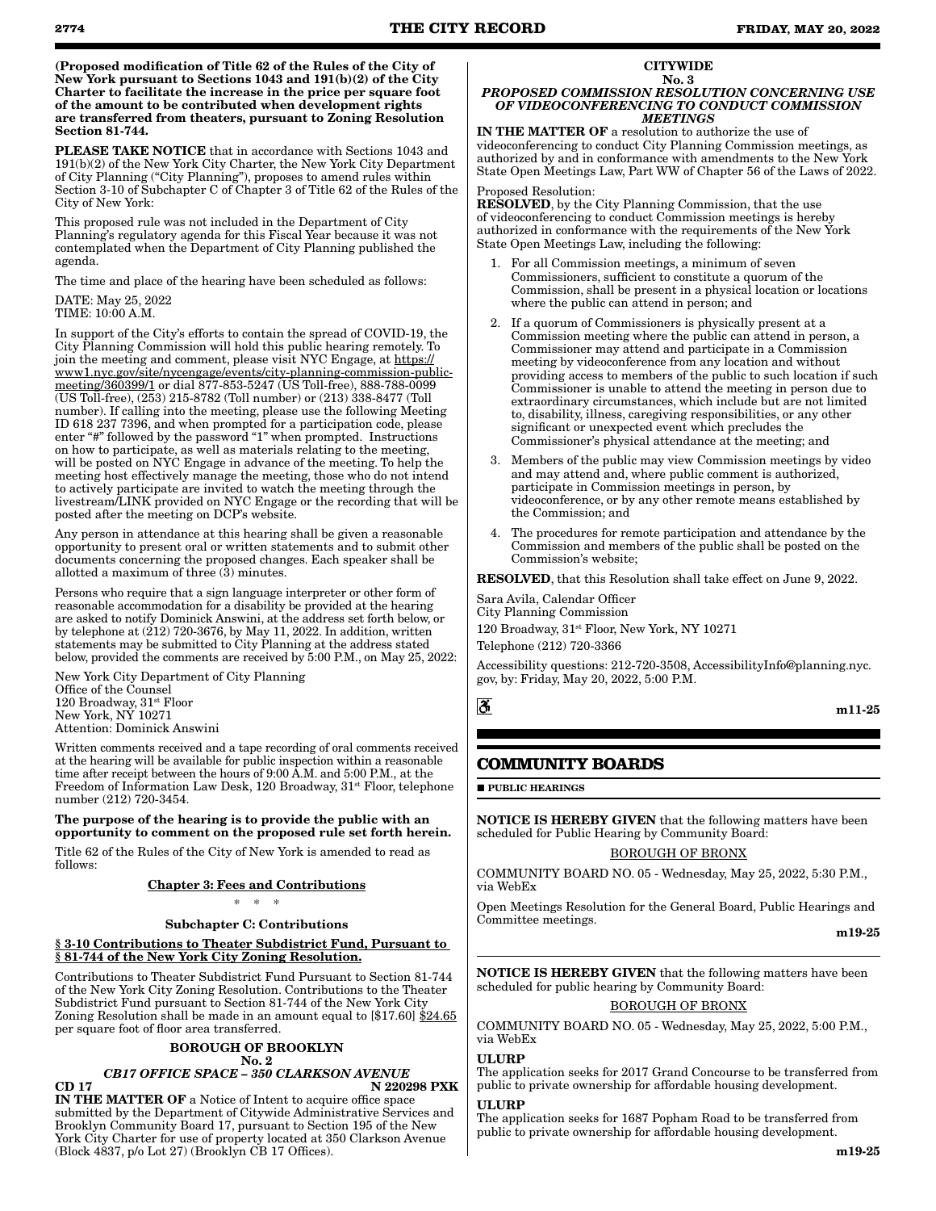(Proposed modification of Title 62 of the Rules of the City of New York pursuant to Sections 1043 and 191(b)(2) of the City Charter to facilitate the increase in the price per square foot of the amount to be contributed when development rights are transferred from theaters, pursuant to Zoning Resolution Section 81-744.

PLEASE TAKE NOTICE that in accordance with Sections 1043 and 191(b)(2) of the New York City Charter, the New York City Department of City Planning ("City Planning"), proposes to amend rules within Section 3-10 of Subchapter C of Chapter 3 of Title 62 of the Rules of the City of New York:

This proposed rule was not included in the Department of City Planning's regulatory agenda for this Fiscal Year because it was not contemplated when the Department of City Planning published the agenda.

The time and place of the hearing have been scheduled as follows: DATE: May 25, 2022

TIME: 10:00 A.M.

In support of the City's efforts to contain the spread of COVID-19, the City Planning Commission will hold this public hearing remotely. To join the meeting and comment, please visit NYC Engage, at https:// www1.nyc.gov/site/nycengage/events/city-planning-commission-publicmeeting/360399/1 or dial 877-853-5247 (US Toll-free), 888-788-0099 (US Toll-free), (253) 215-8782 (Toll number) or (213) 338-8477 (Toll number). If calling into the meeting, please use the following Meeting ID 618 237 7396, and when prompted for a participation code, please enter "#" followed by the password "1" when prompted. Instructions on how to participate, as well as materials relating to the meeting, will be posted on NYC Engage in advance of the meeting. To help the meeting host effectively manage the meeting, those who do not intend to actively participate are invited to watch the meeting through the livestream/LINK provided on NYC Engage or the recording that will be posted after the meeting on DCP's website.

Any person in attendance at this hearing shall be given a reasonable opportunity to present oral or written statements and to submit other documents concerning the proposed changes. Each speaker shall be allotted a maximum of three  $(\hat{3})$  minutes.

Persons who require that a sign language interpreter or other form of reasonable accommodation for a disability be provided at the hearing are asked to notify Dominick Answini, at the address set forth below, or by telephone at (212) 720-3676, by May 11, 2022. In addition, written statements may be submitted to City Planning at the address stated below, provided the comments are received by 5:00 P.M., on May 25, 2022:

New York City Department of City Planning Office of the Counsel 120 Broadway, 31<sup>st</sup> Floor New York, NY 10271 Attention: Dominick Answini

Written comments received and a tape recording of oral comments received at the hearing will be available for public inspection within a reasonable time after receipt between the hours of 9:00 A.M. and 5:00 P.M., at the Freedom of Information Law Desk, 120 Broadway, 31st Floor, telephone number (212) 720-3454.

#### The purpose of the hearing is to provide the public with an opportunity to comment on the proposed rule set forth herein.

Title 62 of the Rules of the City of New York is amended to read as follows:

Chapter 3: Fees and Contributions

\* \* \*

# Subchapter C: Contributions

#### § 3-10 Contributions to Theater Subdistrict Fund, Pursuant to § 81-744 of the New York City Zoning Resolution.

Contributions to Theater Subdistrict Fund Pursuant to Section 81-744 of the New York City Zoning Resolution. Contributions to the Theater Subdistrict Fund pursuant to Section 81-744 of the New York City Zoning Resolution shall be made in an amount equal to [\$17.60] \$24.65 per square foot of floor area transferred.

# BOROUGH OF BROOKLYN

#### No. 2 *CB17 OFFICE SPACE – 350 CLARKSON AVENUE* CD 17 N 220298 PXK

IN THE MATTER OF a Notice of Intent to acquire office space submitted by the Department of Citywide Administrative Services and Brooklyn Community Board 17, pursuant to Section 195 of the New York City Charter for use of property located at 350 Clarkson Avenue (Block 4837, p/o Lot 27) (Brooklyn CB 17 Offices).

#### **CITYWIDE** No. 3

#### *PROPOSED COMMISSION RESOLUTION CONCERNING USE OF VIDEOCONFERENCING TO CONDUCT COMMISSION MEETINGS*

IN THE MATTER OF a resolution to authorize the use of videoconferencing to conduct City Planning Commission meetings, as authorized by and in conformance with amendments to the New York State Open Meetings Law, Part WW of Chapter 56 of the Laws of 2022.

# Proposed Resolution:

RESOLVED, by the City Planning Commission, that the use of videoconferencing to conduct Commission meetings is hereby authorized in conformance with the requirements of the New York State Open Meetings Law, including the following:

- 1. For all Commission meetings, a minimum of seven Commissioners, sufficient to constitute a quorum of the Commission, shall be present in a physical location or locations where the public can attend in person; and
- 2. If a quorum of Commissioners is physically present at a Commission meeting where the public can attend in person, a Commissioner may attend and participate in a Commission meeting by videoconference from any location and without providing access to members of the public to such location if such Commissioner is unable to attend the meeting in person due to extraordinary circumstances, which include but are not limited to, disability, illness, caregiving responsibilities, or any other significant or unexpected event which precludes the Commissioner's physical attendance at the meeting; and
- 3. Members of the public may view Commission meetings by video and may attend and, where public comment is authorized, participate in Commission meetings in person, by videoconference, or by any other remote means established by the Commission; and
- 4. The procedures for remote participation and attendance by the Commission and members of the public shall be posted on the Commission's website;

RESOLVED, that this Resolution shall take effect on June 9, 2022.

Sara Avila, Calendar Officer City Planning Commission 120 Broadway,  $31^{st}$  Floor, New York, NY 10271 Telephone (212) 720-3366

Accessibility questions: 212-720-3508, AccessibilityInfo@planning.nyc. gov, by: Friday, May 20, 2022, 5:00 P.M.

 $\mathbf{S}$ 

m11-25

# **COMMUNITY BOARDS**

**PUBLIC HEARINGS** 

NOTICE IS HEREBY GIVEN that the following matters have been scheduled for Public Hearing by Community Board:

BOROUGH OF BRONX

COMMUNITY BOARD NO. 05 - Wednesday, May 25, 2022, 5:30 P.M., via WebEx

Open Meetings Resolution for the General Board, Public Hearings and Committee meetings.

m19-25

NOTICE IS HEREBY GIVEN that the following matters have been scheduled for public hearing by Community Board:

# BOROUGH OF BRONX

COMMUNITY BOARD NO. 05 - Wednesday, May 25, 2022, 5:00 P.M., via WebEx

# ULURP

The application seeks for 2017 Grand Concourse to be transferred from public to private ownership for affordable housing development.

# ULURP

The application seeks for 1687 Popham Road to be transferred from public to private ownership for affordable housing development.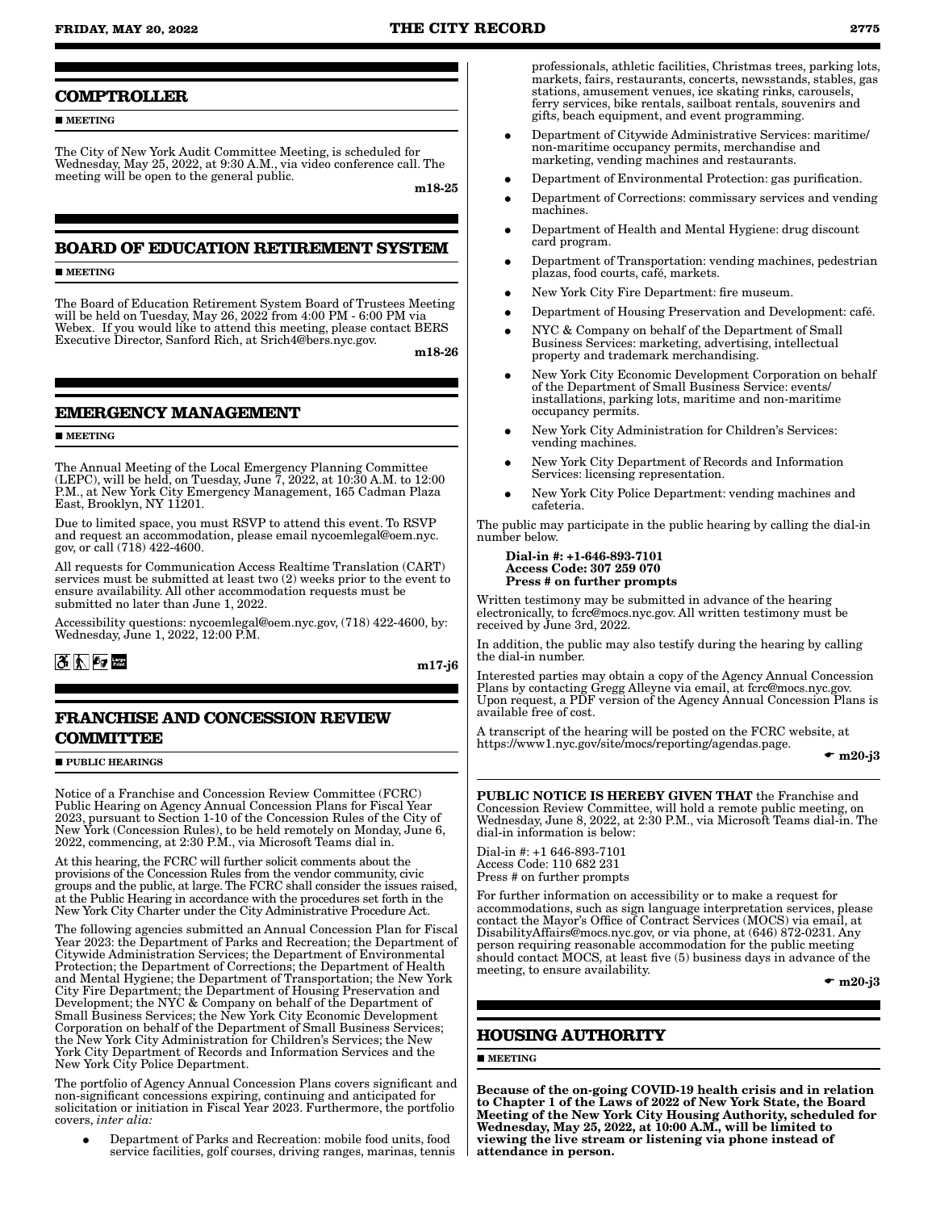# **FRIDAY, MAY 20, 2022 THE CITY RECORD 2775**

## **COMPTROLLER**

**MEETING** 

The City of New York Audit Committee Meeting, is scheduled for Wednesday, May 25, 2022, at 9:30 A.M., via video conference call. The meeting will be open to the general public.

m18-25

# **BOARD OF EDUCATION RETIREMENT SYSTEM**

**MEETING** 

The Board of Education Retirement System Board of Trustees Meeting will be held on Tuesday, May 26, 2022 from 4:00 PM - 6:00 PM via Webex. If you would like to attend this meeting, please contact BERS Executive Director, Sanford Rich, at Srich4@bers.nyc.gov.

m18-26

# **EMERGENCY MANAGEMENT**

#### **MEETING**

The Annual Meeting of the Local Emergency Planning Committee (LEPC), will be held, on Tuesday, June  $\tilde{7}$ , 2022, at 10:30 A.M. to 12:00 P.M., at New York City Emergency Management, 165 Cadman Plaza East, Brooklyn, NY 11201.

Due to limited space, you must RSVP to attend this event. To RSVP and request an accommodation, please email nycoemlegal@oem.nyc. gov, or call (718) 422-4600.

All requests for Communication Access Realtime Translation (CART) services must be submitted at least two (2) weeks prior to the event to ensure availability. All other accommodation requests must be submitted no later than June 1, 2022.

Accessibility questions: nycoemlegal@oem.nyc.gov, (718) 422-4600, by: Wednesday, June 1, 2022, 12:00 P.M.

 $3 \, \mathrm{k}$   $\frac{2}{3}$ 

m17-j6

# **FRANCHISE AND CONCESSION REVIEW COMMITTEE**

#### **PUBLIC HEARINGS**

Notice of a Franchise and Concession Review Committee (FCRC) Public Hearing on Agency Annual Concession Plans for Fiscal Year 2023, pursuant to Section 1-10 of the Concession Rules of the City of New York (Concession Rules), to be held remotely on Monday, June 6, 2022, commencing, at 2:30 P.M., via Microsoft Teams dial in.

At this hearing, the FCRC will further solicit comments about the provisions of the Concession Rules from the vendor community, civic groups and the public, at large. The FCRC shall consider the issues raised, at the Public Hearing in accordance with the procedures set forth in the New York City Charter under the City Administrative Procedure Act.

The following agencies submitted an Annual Concession Plan for Fiscal Year 2023: the Department of Parks and Recreation; the Department of Citywide Administration Services; the Department of Environmental Protection; the Department of Corrections; the Department of Health and Mental Hygiene; the Department of Transportation; the New York City Fire Department; the Department of Housing Preservation and Development; the NYC & Company on behalf of the Department of Small Business Services; the New York City Economic Development Corporation on behalf of the Department of Small Business Services; the New York City Administration for Children's Services; the New York City Department of Records and Information Services and the New York City Police Department.

The portfolio of Agency Annual Concession Plans covers significant and non-significant concessions expiring, continuing and anticipated for solicitation or initiation in Fiscal Year 2023. Furthermore, the portfolio covers, *inter alia:*

• Department of Parks and Recreation: mobile food units, food service facilities, golf courses, driving ranges, marinas, tennis

professionals, athletic facilities, Christmas trees, parking lots, markets, fairs, restaurants, concerts, newsstands, stables, gas stations, amusement venues, ice skating rinks, carousels, ferry services, bike rentals, sailboat rentals, souvenirs and gifts, beach equipment, and event programming.

- � Department of Citywide Administrative Services: maritime/ non-maritime occupancy permits, merchandise and marketing, vending machines and restaurants.
- Department of Environmental Protection: gas purification.
- � Department of Corrections: commissary services and vending machines.
- Department of Health and Mental Hygiene: drug discount card program.
- � Department of Transportation: vending machines, pedestrian plazas, food courts, café, markets.
- � New York City Fire Department: fire museum.
- � Department of Housing Preservation and Development: café.
- NYC & Company on behalf of the Department of Small Business Services: marketing, advertising, intellectual property and trademark merchandising.
- � New York City Economic Development Corporation on behalf of the Department of Small Business Service: events/ installations, parking lots, maritime and non-maritime occupancy permits.
- � New York City Administration for Children's Services: vending machines.
- � New York City Department of Records and Information Services: licensing representation.
- � New York City Police Department: vending machines and cafeteria.

The public may participate in the public hearing by calling the dial-in number below.

#### Dial-in #: +1-646-893-7101 Access Code: 307 259 070 Press # on further prompts

Written testimony may be submitted in advance of the hearing electronically, to fcrc@mocs.nyc.gov. All written testimony must be received by June 3rd, 2022.

In addition, the public may also testify during the hearing by calling the dial-in number.

Interested parties may obtain a copy of the Agency Annual Concession Plans by contacting Gregg Alleyne via email, at fcrc@mocs.nyc.gov. Upon request, a PDF version of the Agency Annual Concession Plans is available free of cost.

A transcript of the hearing will be posted on the FCRC website, at https://www1.nyc.gov/site/mocs/reporting/agendas.page.

 $\bullet$  m20-j3

PUBLIC NOTICE IS HEREBY GIVEN THAT the Franchise and Concession Review Committee, will hold a remote public meeting, on Wednesday, June 8, 2022, at 2:30 P.M., via Microsoft Teams dial-in. The dial-in information is below:

Dial-in #: +1 646-893-7101 Access Code: 110 682 231 Press # on further prompts

For further information on accessibility or to make a request for accommodations, such as sign language interpretation services, please contact the Mayor's Office of Contract Services (MOCS) via email, at DisabilityAffairs@mocs.nyc.gov, or via phone, at (646) 872-0231. Any person requiring reasonable accommodation for the public meeting should contact MOCS, at least five (5) business days in advance of the meeting, to ensure availability.

 $\bullet$  m20-i3

# **HOUSING AUTHORITY**

# $MERTING$

Because of the on-going COVID-19 health crisis and in relation to Chapter 1 of the Laws of 2022 of New York State, the Board Meeting of the New York City Housing Authority, scheduled for Wednesday, May 25, 2022, at 10:00 A.M., will be limited to viewing the live stream or listening via phone instead of attendance in person.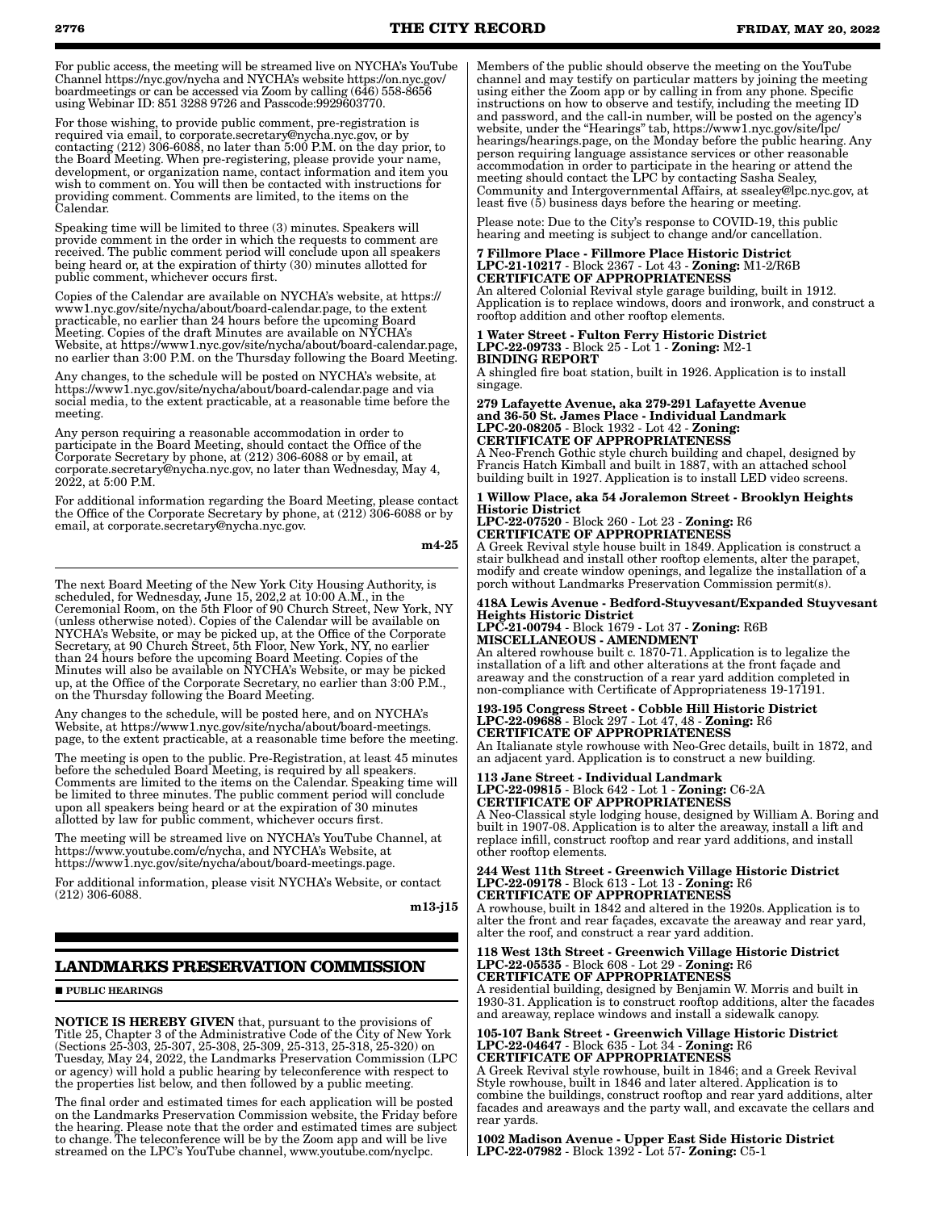For public access, the meeting will be streamed live on NYCHA's YouTube Channel https://nyc.gov/nycha and NYCHA's website https://on.nyc.gov/ boardmeetings or can be accessed via Zoom by calling (646) 558-8656 using Webinar ID: 851 3288 9726 and Passcode:9929603770.

For those wishing, to provide public comment, pre-registration is required via email, to corporate.secretary@nycha.nyc.gov, or by contacting (212) 306-6088, no later than 5:00 P.M. on the day prior, to the Board Meeting. When pre-registering, please provide your name, development, or organization name, contact information and item you wish to comment on. You will then be contacted with instructions for providing comment. Comments are limited, to the items on the Calendar.

Speaking time will be limited to three (3) minutes. Speakers will provide comment in the order in which the requests to comment are received. The public comment period will conclude upon all speakers being heard or, at the expiration of thirty (30) minutes allotted for public comment, whichever occurs first.

Copies of the Calendar are available on NYCHA's website, at https:// www1.nyc.gov/site/nycha/about/board-calendar.page, to the extent practicable, no earlier than 24 hours before the upcoming Board Meeting. Copies of the draft Minutes are available on NYCHA's Website, at https://www1.nyc.gov/site/nycha/about/board-calendar.page, no earlier than 3:00 P.M. on the Thursday following the Board Meeting.

Any changes, to the schedule will be posted on NYCHA's website, at https://www1.nyc.gov/site/nycha/about/board-calendar.page and via social media, to the extent practicable, at a reasonable time before the meeting.

Any person requiring a reasonable accommodation in order to participate in the Board Meeting, should contact the Office of the Corporate Secretary by phone, at (212) 306-6088 or by email, at corporate.secretary@nycha.nyc.gov, no later than Wednesday, May 4, 2022, at 5:00 P.M.

For additional information regarding the Board Meeting, please contact the Office of the Corporate Secretary by phone, at (212) 306-6088 or by email, at corporate.secretary@nycha.nyc.gov.

m4-25

The next Board Meeting of the New York City Housing Authority, is scheduled, for Wednesday, June 15, 202,2 at  $10:00$  A.M., in the Ceremonial Room, on the 5th Floor of 90 Church Street, New York, NY (unless otherwise noted). Copies of the Calendar will be available on NYCHA's Website, or may be picked up, at the Office of the Corporate Secretary, at 90 Church Street, 5th Floor, New York, NY, no earlier than 24 hours before the upcoming Board Meeting. Copies of the Minutes will also be available on NYCHA's Website, or may be picked up, at the Office of the Corporate Secretary, no earlier than 3:00 P.M., on the Thursday following the Board Meeting.

Any changes to the schedule, will be posted here, and on NYCHA's Website, at https://www1.nyc.gov/site/nycha/about/board-meetings. page, to the extent practicable, at a reasonable time before the meeting.

The meeting is open to the public. Pre-Registration, at least 45 minutes before the scheduled Board Meeting, is required by all speakers. Comments are limited to the items on the Calendar. Speaking time will be limited to three minutes. The public comment period will conclude upon all speakers being heard or at the expiration of 30 minutes allotted by law for public comment, whichever occurs first.

The meeting will be streamed live on NYCHA's YouTube Channel, at https://www.youtube.com/c/nycha, and NYCHA's Website, at https://www1.nyc.gov/site/nycha/about/board-meetings.page.

For additional information, please visit NYCHA's Website, or contact (212) 306-6088.

m13-i15

# **LANDMARKS PRESERVATION COMMISSION**

### **PUBLIC HEARINGS**

NOTICE IS HEREBY GIVEN that, pursuant to the provisions of Title 25, Chapter 3 of the Administrative Code of the City of New York (Sections 25-303, 25-307, 25-308, 25-309, 25-313, 25-318, 25-320) on Tuesday, May 24, 2022, the Landmarks Preservation Commission (LPC or agency) will hold a public hearing by teleconference with respect to the properties list below, and then followed by a public meeting.

The final order and estimated times for each application will be posted on the Landmarks Preservation Commission website, the Friday before the hearing. Please note that the order and estimated times are subject to change. The teleconference will be by the Zoom app and will be live streamed on the LPC's YouTube channel, www.youtube.com/nyclpc.

Members of the public should observe the meeting on the YouTube channel and may testify on particular matters by joining the meeting using either the Zoom app or by calling in from any phone. Specific instructions on how to observe and testify, including the meeting ID and password, and the call-in number, will be posted on the agency's website, under the "Hearings" tab, https://www1.nyc.gov/site/lpc/ hearings/hearings.page, on the Monday before the public hearing. Any person requiring language assistance services or other reasonable accommodation in order to participate in the hearing or attend the meeting should contact the LPC by contacting Sasha Sealey, Community and Intergovernmental Affairs, at ssealey@lpc.nyc.gov, at least five (5) business days before the hearing or meeting.

Please note: Due to the City's response to COVID-19, this public hearing and meeting is subject to change and/or cancellation.

#### 7 Fillmore Place - Fillmore Place Historic District LPC-21-10217 - Block 2367 - Lot 43 - Zoning: M1-2/R6B CERTIFICATE OF APPROPRIATENESS

An altered Colonial Revival style garage building, built in 1912. Application is to replace windows, doors and ironwork, and construct a rooftop addition and other rooftop elements.

#### 1 Water Street - Fulton Ferry Historic District LPC-22-09733 - Block 25 - Lot 1 - Zoning: M2-1 BINDING REPORT

A shingled fire boat station, built in 1926. Application is to install singage.

279 Lafayette Avenue, aka 279-291 Lafayette Avenue and 36-50 St. James Place - Individual Landmark LPC-20-08205 - Block 1932 - Lot 42 - Zoning: CERTIFICATE OF APPROPRIATENESS A Neo-French Gothic style church building and chapel, designed by

Francis Hatch Kimball and built in 1887, with an attached school building built in 1927. Application is to install LED video screens. 1 Willow Place, aka 54 Joralemon Street - Brooklyn Heights

# Historic District LPC-22-07520 - Block 260 - Lot 23 - Zoning: R6

CERTIFICATE OF APPROPRIATENESS A Greek Revival style house built in 1849. Application is construct a stair bulkhead and install other rooftop elements, alter the parapet, modify and create window openings, and legalize the installation of a porch without Landmarks Preservation Commission permit(s).

## 418A Lewis Avenue - Bedford-Stuyvesant/Expanded Stuyvesant Heights Historic District

LPC-21-00794 - Block 1679 - Lot 37 - Zoning: R6B MISCELLANEOUS - AMENDMENT An altered rowhouse built c. 1870-71. Application is to legalize the

installation of a lift and other alterations at the front façade and areaway and the construction of a rear yard addition completed in non-compliance with Certificate of Appropriateness 19-17191.

193-195 Congress Street - Cobble Hill Historic District LPC-22-09688 - Block 297 - Lot 47, 48 - Zoning: R6 CERTIFICATE OF APPROPRIATENESS

An Italianate style rowhouse with Neo-Grec details, built in 1872, and an adjacent yard. Application is to construct a new building.

113 Jane Street - Individual Landmark LPC-22-09815 - Block 642 - Lot 1 - Zoning: C6-2A CERTIFICATE OF APPROPRIATENESS

A Neo-Classical style lodging house, designed by William A. Boring and built in 1907-08. Application is to alter the areaway, install a lift and replace infill, construct rooftop and rear yard additions, and install other rooftop elements.

#### 244 West 11th Street - Greenwich Village Historic District LPC-22-09178 - Block 613 - Lot 13 - Zoning: R6 CERTIFICATE OF APPROPRIATENESS

A rowhouse, built in 1842 and altered in the 1920s. Application is to alter the front and rear façades, excavate the areaway and rear yard, alter the roof, and construct a rear yard addition.

118 West 13th Street - Greenwich Village Historic District LPC-22-05535 - Block 608 - Lot 29 - Zoning: R6 CERTIFICATE OF APPROPRIATENESS

A residential building, designed by Benjamin W. Morris and built in 1930-31. Application is to construct rooftop additions, alter the facades and areaway, replace windows and install a sidewalk canopy.

105-107 Bank Street - Greenwich Village Historic District 105-107 Bank Street - Greenwich Lines And<br>LPC-22-04647 - Block 635 - Lot 34 - Zoning: R6 CERTIFICATE OF APPROPRIATENESS

A Greek Revival style rowhouse, built in 1846; and a Greek Revival Style rowhouse, built in 1846 and later altered. Application is to combine the buildings, construct rooftop and rear yard additions, alter facades and areaways and the party wall, and excavate the cellars and rear yards.

1002 Madison Avenue - Upper East Side Historic District LPC-22-07982 - Block 1392 - Lot 57- Zoning: C5-1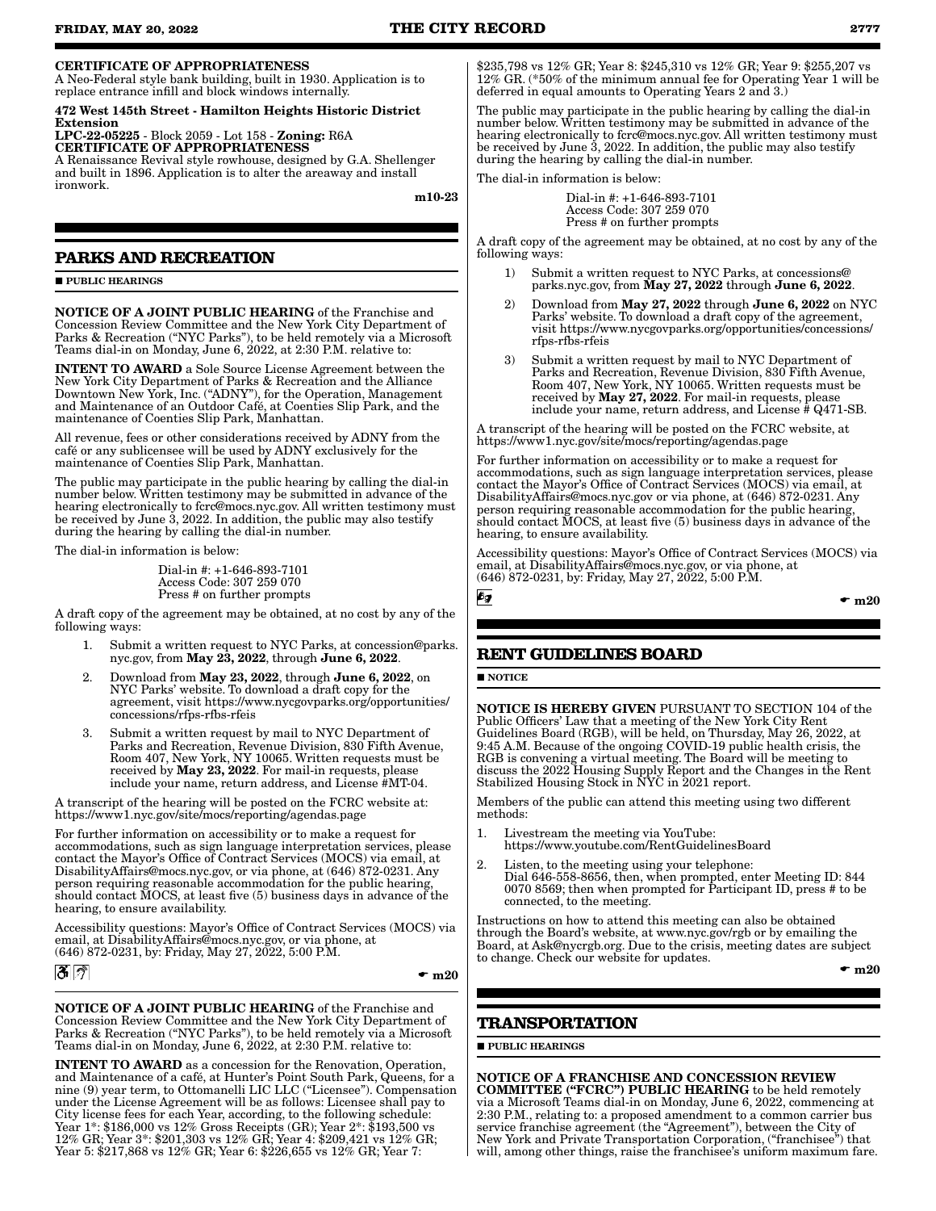# CERTIFICATE OF APPROPRIATENESS

A Neo-Federal style bank building, built in 1930. Application is to replace entrance infill and block windows internally.

472 West 145th Street - Hamilton Heights Historic District Extension

LPC-22-05225 - Block 2059 - Lot 158 - Zoning: R6A CERTIFICATE OF APPROPRIATENESS

A Renaissance Revival style rowhouse, designed by G.A. Shellenger and built in 1896. Application is to alter the areaway and install ironwork.

m10-23

# **PARKS AND RECREATION**

**PURLIC HEARINGS** 

NOTICE OF A JOINT PUBLIC HEARING of the Franchise and Concession Review Committee and the New York City Department of Parks & Recreation ("NYC Parks"), to be held remotely via a Microsoft Teams dial-in on Monday, June 6, 2022, at 2:30 P.M. relative to:

INTENT TO AWARD a Sole Source License Agreement between the New York City Department of Parks & Recreation and the Alliance Downtown New York, Inc. ("ADNY"), for the Operation, Management and Maintenance of an Outdoor Café, at Coenties Slip Park, and the maintenance of Coenties Slip Park, Manhattan.

All revenue, fees or other considerations received by ADNY from the café or any sublicensee will be used by ADNY exclusively for the maintenance of Coenties Slip Park, Manhattan.

The public may participate in the public hearing by calling the dial-in number below. Written testimony may be submitted in advance of the hearing electronically to fcrc@mocs.nyc.gov. All written testimony must be received by June 3, 2022. In addition, the public may also testify during the hearing by calling the dial-in number.

The dial-in information is below:

Dial-in #: +1-646-893-7101 Access Code: 307 259 070 Press # on further prompts

A draft copy of the agreement may be obtained, at no cost by any of the following ways:

- 1. Submit a written request to NYC Parks, at concession@parks. nyc.gov, from May 23, 2022, through June 6, 2022.
- 2. Download from May 23, 2022, through June 6, 2022, on NYC Parks' website. To download a draft copy for the agreement, visit https://www.nycgovparks.org/opportunities/ concessions/rfps-rfbs-rfeis
- 3. Submit a written request by mail to NYC Department of Parks and Recreation, Revenue Division, 830 Fifth Avenue, Room 407, New York, NY 10065. Written requests must be received by May 23, 2022. For mail-in requests, please include your name, return address, and License #MT-04.

A transcript of the hearing will be posted on the FCRC website at: https://www1.nyc.gov/site/mocs/reporting/agendas.page

For further information on accessibility or to make a request for accommodations, such as sign language interpretation services, please contact the Mayor's Office of Contract Services (MOCS) via email, at DisabilityAffairs@mocs.nyc.gov, or via phone, at (646) 872-0231. Any person requiring reasonable accommodation for the public hearing, should contact MOCS, at least five (5) business days in advance of the hearing, to ensure availability.

Accessibility questions: Mayor's Office of Contract Services (MOCS) via email, at DisabilityAffairs@mocs.nyc.gov, or via phone, at (646) 872-0231, by: Friday, May 27, 2022, 5:00 P.M.



 $\mathbf{m}$  m20

NOTICE OF A JOINT PUBLIC HEARING of the Franchise and Concession Review Committee and the New York City Department of Parks & Recreation ("NYC Parks"), to be held remotely via a Microsoft Teams dial-in on Monday, June 6, 2022, at 2:30 P.M. relative to:

INTENT TO AWARD as a concession for the Renovation, Operation, and Maintenance of a café, at Hunter's Point South Park, Queens, for a nine (9) year term, to Ottomanelli LIC LLC ("Licensee"). Compensation under the License Agreement will be as follows: Licensee shall pay to City license fees for each Year, according, to the following schedule: Year 1\*: \$186,000 vs 12% Gross Receipts (GR); Year 2\*: \$193,500 vs 12% GR; Year 3\*: \$201,303 vs 12% GR; Year 4: \$209,421 vs 12% GR; Year 5: \$217,868 vs 12% GR; Year 6: \$226,655 vs 12% GR; Year 7:

\$235,798 vs 12% GR; Year 8: \$245,310 vs 12% GR; Year 9: \$255,207 vs 12% GR. (\*50% of the minimum annual fee for Operating Year 1 will be deferred in equal amounts to Operating Years 2 and 3.)

The public may participate in the public hearing by calling the dial-in number below. Written testimony may be submitted in advance of the hearing electronically to fcrc@mocs.nyc.gov. All written testimony must be received by June 3, 2022. In addition, the public may also testify during the hearing by calling the dial-in number.

The dial-in information is below:

Dial-in #: +1-646-893-7101 Access Code: 307 259 070 Press # on further prompts

A draft copy of the agreement may be obtained, at no cost by any of the following ways:

- 1) Submit a written request to NYC Parks, at concessions@ parks.nyc.gov, from May 27, 2022 through June 6, 2022.
- 2) Download from May 27, 2022 through June 6, 2022 on NYC Parks' website. To download a draft copy of the agreement, visit https://www.nycgovparks.org/opportunities/concessions/ rfps-rfbs-rfeis
- 3) Submit a written request by mail to NYC Department of Parks and Recreation, Revenue Division, 830 Fifth Avenue, Room 407, New York, NY 10065. Written requests must be received by **May 27, 2022**. For mail-in requests, please include your name, return address, and License # Q471-SB.

A transcript of the hearing will be posted on the FCRC website, at https://www1.nyc.gov/site/mocs/reporting/agendas.page

For further information on accessibility or to make a request for accommodations, such as sign language interpretation services, please contact the Mayor's Office of Contract Services (MOCS) via email, at DisabilityAffairs@mocs.nyc.gov or via phone, at (646) 872-0231. Any person requiring reasonable accommodation for the public hearing, should contact MOCS, at least five (5) business days in advance of the hearing, to ensure availability.

Accessibility questions: Mayor's Office of Contract Services (MOCS) via email, at DisabilityAffairs@mocs.nyc.gov, or via phone, at (646) 872-0231, by: Friday, May 27, 2022, 5:00 P.M.

6g

 $\mathbf{m}$  m20

# **RENT GUIDELINES BOARD**

**NOTICE** 

NOTICE IS HEREBY GIVEN PURSUANT TO SECTION 104 of the Public Officers' Law that a meeting of the New York City Rent Guidelines Board (RGB), will be held, on Thursday, May 26, 2022, at 9:45 A.M. Because of the ongoing COVID-19 public health crisis, the RGB is convening a virtual meeting. The Board will be meeting to discuss the 2022 Housing Supply Report and the Changes in the Rent Stabilized Housing Stock in NYC in 2021 report.

Members of the public can attend this meeting using two different methods:

- 1. Livestream the meeting via YouTube: https://www.youtube.com/RentGuidelinesBoard
- 2. Listen, to the meeting using your telephone: Dial 646-558-8656, then, when prompted, enter Meeting ID: 844 0070 8569; then when prompted for Participant ID, press # to be connected, to the meeting.

Instructions on how to attend this meeting can also be obtained through the Board's website, at www.nyc.gov/rgb or by emailing the Board, at Ask@nycrgb.org. Due to the crisis, meeting dates are subject to change. Check our website for updates.

 $\mathbf{m}$  m20

# **TRANSPORTATION**

**PUBLIC HEARINGS** 

NOTICE OF A FRANCHISE AND CONCESSION REVIEW COMMITTEE ("FCRC") PUBLIC HEARING to be held remotely via a Microsoft Teams dial-in on Monday, June 6, 2022, commencing at 2:30 P.M., relating to: a proposed amendment to a common carrier bus service franchise agreement (the "Agreement"), between the City of New York and Private Transportation Corporation, (''franchisee") that will, among other things, raise the franchisee's uniform maximum fare.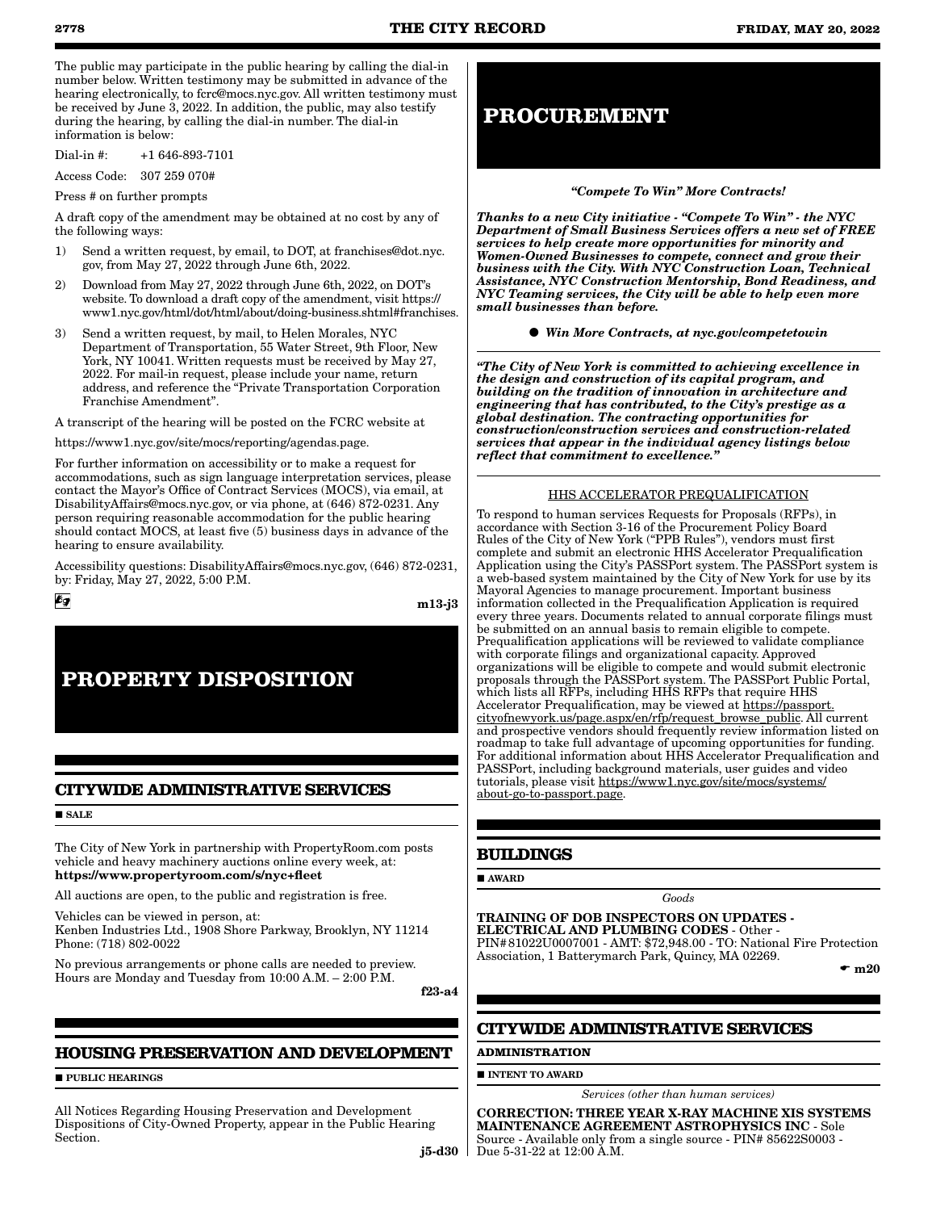The public may participate in the public hearing by calling the dial-in number below. Written testimony may be submitted in advance of the hearing electronically, to fcrc@mocs.nyc.gov. All written testimony must be received by June 3, 2022. In addition, the public, may also testify during the hearing, by calling the dial-in number. The dial-in information is below:

Dial-in #: +1 646-893-7101

Access Code: 307 259 070#

Press # on further prompts

A draft copy of the amendment may be obtained at no cost by any of the following ways:

- 1) Send a written request, by email, to DOT, at franchises@dot.nyc. gov, from May 27, 2022 through June 6th, 2022.
- 2) Download from May 27, 2022 through June 6th, 2022, on DOT's website. To download a draft copy of the amendment, visit https:// www1.nyc.gov/html/dot/html/about/doing-business.shtml#franchises.
- 3) Send a written request, by mail, to Helen Morales, NYC Department of Transportation, 55 Water Street, 9th Floor, New York, NY 10041. Written requests must be received by May 27, 2022. For mail-in request, please include your name, return address, and reference the "Private Transportation Corporation Franchise Amendment".

A transcript of the hearing will be posted on the FCRC website at

https://www1.nyc.gov/site/mocs/reporting/agendas.page.

For further information on accessibility or to make a request for accommodations, such as sign language interpretation services, please contact the Mayor's Office of Contract Services (MOCS), via email, at DisabilityAffairs@mocs.nyc.gov, or via phone, at (646) 872-0231. Any person requiring reasonable accommodation for the public hearing should contact MOCS, at least five (5) business days in advance of the hearing to ensure availability.

Accessibility questions: DisabilityAffairs@mocs.nyc.gov, (646) 872-0231, by: Friday, May 27, 2022, 5:00 P.M.

m13-j3

# **PROPERTY DISPOSITION**

# **CITYWIDE ADMINISTRATIVE SERVICES**

#### **SALE**

 $\epsilon$ g

The City of New York in partnership with PropertyRoom.com posts vehicle and heavy machinery auctions online every week, at: https://www.propertyroom.com/s/nyc+fleet

All auctions are open, to the public and registration is free.

Vehicles can be viewed in person, at: Kenben Industries Ltd., 1908 Shore Parkway, Brooklyn, NY 11214 Phone: (718) 802-0022

No previous arrangements or phone calls are needed to preview. Hours are Monday and Tuesday from 10:00 A.M. – 2:00 P.M.

f23-a4

# **HOUSING PRESERVATION AND DEVELOPMENT**

**PUBLIC HEARINGS** 

All Notices Regarding Housing Preservation and Development Dispositions of City-Owned Property, appear in the Public Hearing Section.

# **PROCUREMENT**

#### *"Compete To Win" More Contracts!*

*Thanks to a new City initiative - "Compete To Win" - the NYC Department of Small Business Services offers a new set of FREE services to help create more opportunities for minority and Women-Owned Businesses to compete, connect and grow their business with the City. With NYC Construction Loan, Technical Assistance, NYC Construction Mentorship, Bond Readiness, and NYC Teaming services, the City will be able to help even more small businesses than before.*

*Win More Contracts, at nyc.gov/competetowin*

*"The City of New York is committed to achieving excellence in the design and construction of its capital program, and building on the tradition of innovation in architecture and engineering that has contributed, to the City's prestige as a global destination. The contracting opportunities for construction/construction services and construction-related services that appear in the individual agency listings below reflect that commitment to excellence."*

#### HHS ACCELERATOR PREQUALIFICATION

To respond to human services Requests for Proposals (RFPs), in accordance with Section 3-16 of the Procurement Policy Board Rules of the City of New York ("PPB Rules"), vendors must first complete and submit an electronic HHS Accelerator Prequalification Application using the City's PASSPort system. The PASSPort system is a web-based system maintained by the City of New York for use by its Mayoral Agencies to manage procurement. Important business information collected in the Prequalification Application is required every three years. Documents related to annual corporate filings must be submitted on an annual basis to remain eligible to compete. Prequalification applications will be reviewed to validate compliance with corporate filings and organizational capacity. Approved organizations will be eligible to compete and would submit electronic proposals through the PASSPort system. The PASSPort Public Portal, which lists all RFPs, including HHS RFPs that require HHS Accelerator Prequalification, may be viewed at https://passport. cityofnewyork.us/page.aspx/en/rfp/request\_browse\_public. All current and prospective vendors should frequently review information listed on roadmap to take full advantage of upcoming opportunities for funding. For additional information about HHS Accelerator Prequalification and PASSPort, including background materials, user guides and video tutorials, please visit https://www1.nyc.gov/site/mocs/systems/ about-go-to-passport.page.

# **BUILDINGS**

**AWARD** 

TRAINING OF DOB INSPECTORS ON UPDATES - ELECTRICAL AND PLUMBING CODES - Other - PIN#81022U0007001 - AMT: \$72,948.00 - TO: National Fire Protection Association, 1 Batterymarch Park, Quincy, MA 02269.

*Goods*

 $\mathbf{m}$  m20

# **CITYWIDE ADMINISTRATIVE SERVICES**

#### **ADMINISTRATION**

 $\blacksquare$ INTENT TO AWARD

*Services (other than human services)*

j5-d30 Due 5-31-22 at 12:00 A.M.CORRECTION: THREE YEAR X-RAY MACHINE XIS SYSTEMS MAINTENANCE AGREEMENT ASTROPHYSICS INC - Sole Source - Available only from a single source - PIN# 85622S0003 -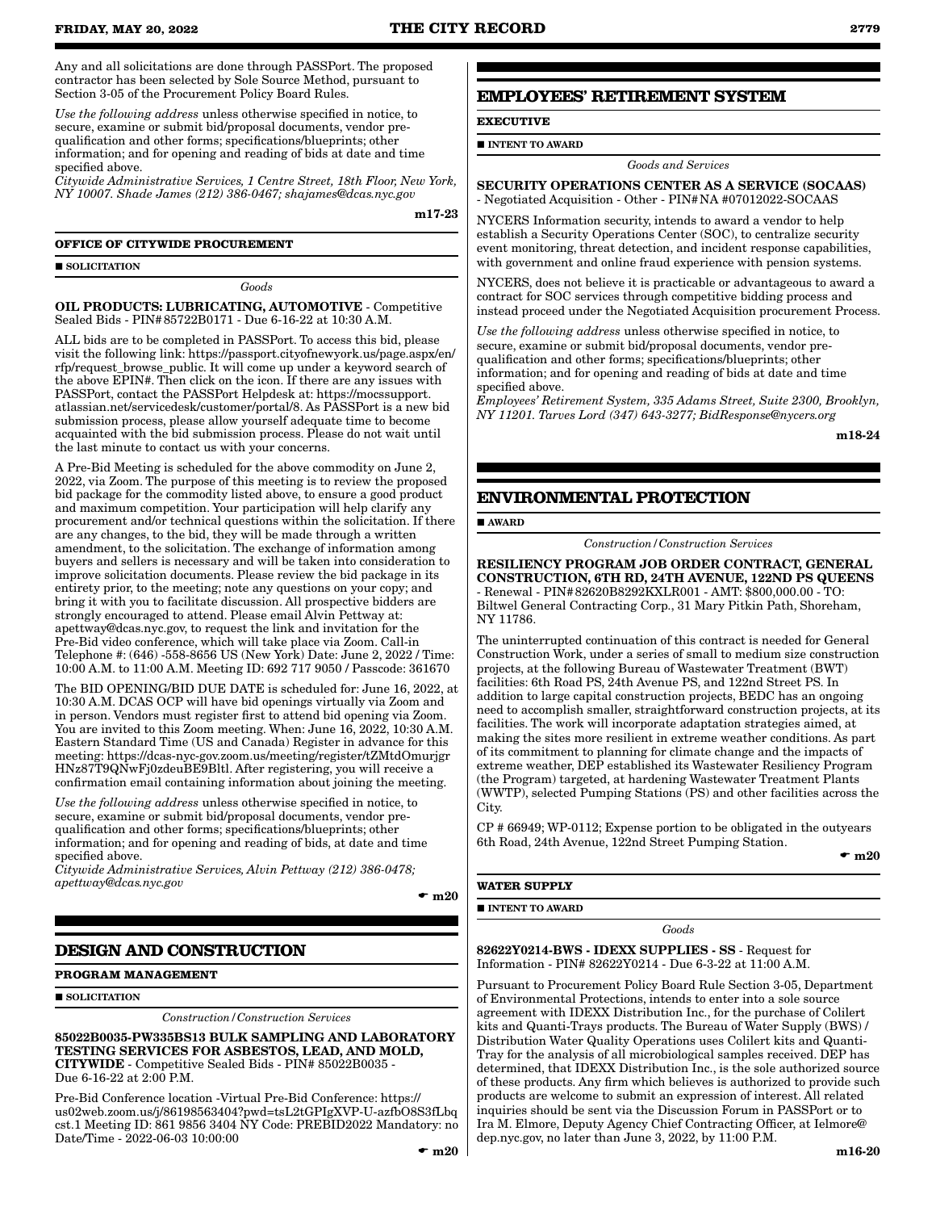Any and all solicitations are done through PASSPort. The proposed contractor has been selected by Sole Source Method, pursuant to Section 3-05 of the Procurement Policy Board Rules.

*Use the following address* unless otherwise specified in notice, to secure, examine or submit bid/proposal documents, vendor prequalification and other forms; specifications/blueprints; other information; and for opening and reading of bids at date and time specified above.

*Citywide Administrative Services, 1 Centre Street, 18th Floor, New York, NY 10007. Shade James (212) 386-0467; shajames@dcas.nyc.gov*

m17-23

## **OFFICE OF CITYWIDE PROCUREMENT**

SOLICITATION

*Goods*

OIL PRODUCTS: LUBRICATING, AUTOMOTIVE - Competitive Sealed Bids - PIN#85722B0171 - Due 6-16-22 at 10:30 A.M.

ALL bids are to be completed in PASSPort. To access this bid, please visit the following link: https://passport.cityofnewyork.us/page.aspx/en/ rfp/request\_browse\_public. It will come up under a keyword search of the above EPIN#. Then click on the icon. If there are any issues with PASSPort, contact the PASSPort Helpdesk at: https://mocssupport. atlassian.net/servicedesk/customer/portal/8. As PASSPort is a new bid submission process, please allow yourself adequate time to become acquainted with the bid submission process. Please do not wait until the last minute to contact us with your concerns.

A Pre-Bid Meeting is scheduled for the above commodity on June 2, 2022, via Zoom. The purpose of this meeting is to review the proposed bid package for the commodity listed above, to ensure a good product and maximum competition. Your participation will help clarify any procurement and/or technical questions within the solicitation. If there are any changes, to the bid, they will be made through a written amendment, to the solicitation. The exchange of information among buyers and sellers is necessary and will be taken into consideration to improve solicitation documents. Please review the bid package in its entirety prior, to the meeting; note any questions on your copy; and bring it with you to facilitate discussion. All prospective bidders are strongly encouraged to attend. Please email Alvin Pettway at: apettway@dcas.nyc.gov, to request the link and invitation for the Pre-Bid video conference, which will take place via Zoom. Call-in Telephone #: (646) -558-8656 US (New York) Date: June 2, 2022 / Time: 10:00 A.M. to 11:00 A.M. Meeting ID: 692 717 9050 / Passcode: 361670

The BID OPENING/BID DUE DATE is scheduled for: June 16, 2022, at 10:30 A.M. DCAS OCP will have bid openings virtually via Zoom and in person. Vendors must register first to attend bid opening via Zoom. You are invited to this Zoom meeting. When: June 16, 2022, 10:30 A.M. Eastern Standard Time (US and Canada) Register in advance for this meeting: https://dcas-nyc-gov.zoom.us/meeting/register/tZMtdOmurjgr HNz87T9QNwFj0zdeuBE9Bltl. After registering, you will receive a confirmation email containing information about joining the meeting.

*Use the following address* unless otherwise specified in notice, to secure, examine or submit bid/proposal documents, vendor prequalification and other forms; specifications/blueprints; other information; and for opening and reading of bids, at date and time specified above.

*Citywide Administrative Services, Alvin Pettway (212) 386-0478; apettway@dcas.nyc.gov*

 $\mathbf{m}$  m20

# **DESIGN AND CONSTRUCTION**

#### **PROGRAM MANAGEMENT**

**SOLICITATION** 

*Construction/Construction Services*

85022B0035-PW335BS13 BULK SAMPLING AND LABORATORY TESTING SERVICES FOR ASBESTOS, LEAD, AND MOLD, CITYWIDE - Competitive Sealed Bids - PIN# 85022B0035 - Due 6-16-22 at 2:00 P.M.

Pre-Bid Conference location -Virtual Pre-Bid Conference: https:// us02web.zoom.us/j/86198563404?pwd=tsL2tGPIgXVP-U-azfbO8S3fLbq cst.1 Meeting ID: 861 9856 3404 NY Code: PREBID2022 Mandatory: no Date/Time - 2022-06-03 10:00:00

# **EMPLOYEES' RETIREMENT SYSTEM**

**EXECUTIVE**

**INTENT TO AWARD** 

*Goods and Services*

#### SECURITY OPERATIONS CENTER AS A SERVICE (SOCAAS) - Negotiated Acquisition - Other - PIN#NA #07012022-SOCAAS

NYCERS Information security, intends to award a vendor to help establish a Security Operations Center (SOC), to centralize security event monitoring, threat detection, and incident response capabilities, with government and online fraud experience with pension systems.

NYCERS, does not believe it is practicable or advantageous to award a contract for SOC services through competitive bidding process and instead proceed under the Negotiated Acquisition procurement Process.

*Use the following address* unless otherwise specified in notice, to secure, examine or submit bid/proposal documents, vendor prequalification and other forms; specifications/blueprints; other information; and for opening and reading of bids at date and time specified above.

*Employees' Retirement System, 335 Adams Street, Suite 2300, Brooklyn, NY 11201. Tarves Lord (347) 643-3277; BidResponse@nycers.org*

m18-24

# **ENVIRONMENTAL PROTECTION**

**AWARD** 

#### *Construction/Construction Services*

RESILIENCY PROGRAM JOB ORDER CONTRACT, GENERAL CONSTRUCTION, 6TH RD, 24TH AVENUE, 122ND PS QUEENS - Renewal - PIN#82620B8292KXLR001 - AMT: \$800,000.00 - TO: Biltwel General Contracting Corp., 31 Mary Pitkin Path, Shoreham, NY 11786.

The uninterrupted continuation of this contract is needed for General Construction Work, under a series of small to medium size construction projects, at the following Bureau of Wastewater Treatment (BWT) facilities: 6th Road PS, 24th Avenue PS, and 122nd Street PS. In addition to large capital construction projects, BEDC has an ongoing need to accomplish smaller, straightforward construction projects, at its facilities. The work will incorporate adaptation strategies aimed, at making the sites more resilient in extreme weather conditions. As part of its commitment to planning for climate change and the impacts of extreme weather, DEP established its Wastewater Resiliency Program (the Program) targeted, at hardening Wastewater Treatment Plants (WWTP), selected Pumping Stations (PS) and other facilities across the City.

CP # 66949; WP-0112; Expense portion to be obligated in the outyears 6th Road, 24th Avenue, 122nd Street Pumping Station.

*Goods*

 $\mathbf{m}$  m  $20$ 

#### **WATER SUPPLY**

**INTENT TO AWARD** 

82622Y0214-BWS - IDEXX SUPPLIES - SS - Request for Information - PIN# 82622Y0214 - Due 6-3-22 at 11:00 A.M.

Pursuant to Procurement Policy Board Rule Section 3-05, Department of Environmental Protections, intends to enter into a sole source agreement with IDEXX Distribution Inc., for the purchase of Colilert kits and Quanti-Trays products. The Bureau of Water Supply (BWS) / Distribution Water Quality Operations uses Colilert kits and Quanti-Tray for the analysis of all microbiological samples received. DEP has determined, that IDEXX Distribution Inc., is the sole authorized source of these products. Any firm which believes is authorized to provide such products are welcome to submit an expression of interest. All related inquiries should be sent via the Discussion Forum in PASSPort or to Ira M. Elmore, Deputy Agency Chief Contracting Officer, at Ielmore@ dep.nyc.gov, no later than June 3, 2022, by 11:00 P.M.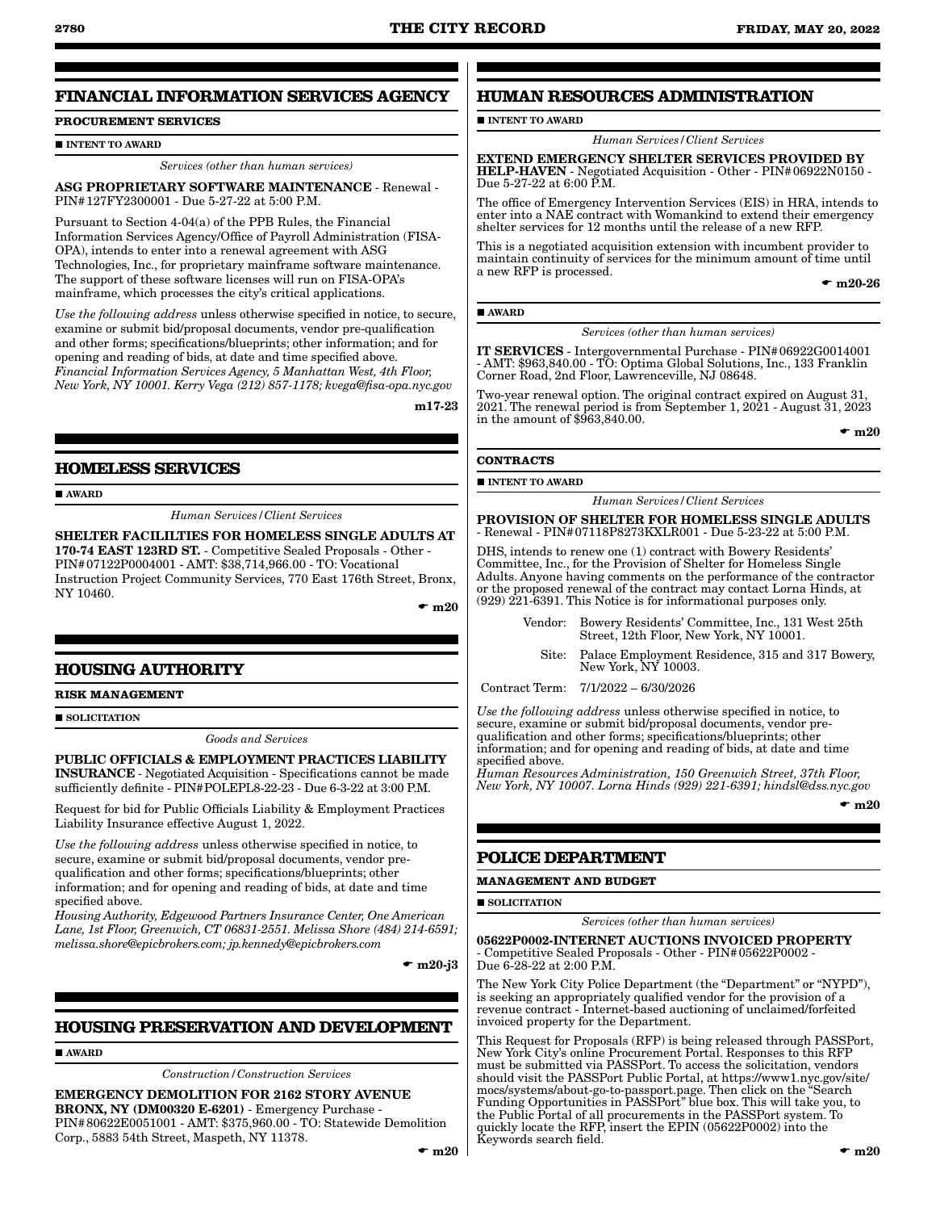# **FINANCIAL INFORMATION SERVICES AGENCY**

# **PROCUREMENT SERVICES**

**INTENT TO AWARD** 

*Services (other than human services)*

ASG PROPRIETARY SOFTWARE MAINTENANCE - Renewal - PIN#127FY2300001 - Due 5-27-22 at 5:00 P.M.

Pursuant to Section 4-04(a) of the PPB Rules, the Financial Information Services Agency/Office of Payroll Administration (FISA-OPA), intends to enter into a renewal agreement with ASG Technologies, Inc., for proprietary mainframe software maintenance. The support of these software licenses will run on FISA-OPA's mainframe, which processes the city's critical applications.

*Use the following address* unless otherwise specified in notice, to secure, examine or submit bid/proposal documents, vendor pre-qualification and other forms; specifications/blueprints; other information; and for opening and reading of bids, at date and time specified above. *Financial Information Services Agency, 5 Manhattan West, 4th Floor, New York, NY 10001. Kerry Vega (212) 857-1178; kvega@fisa-opa.nyc.gov*

m17-23

# **HOMELESS SERVICES**

**AWARD** 

*Human Services/Client Services*

SHELTER FACILILTIES FOR HOMELESS SINGLE ADULTS AT 170-74 EAST 123RD ST. - Competitive Sealed Proposals - Other - PIN#07122P0004001 - AMT: \$38,714,966.00 - TO: Vocational Instruction Project Community Services, 770 East 176th Street, Bronx, NY 10460.

 $\mathbf{m}$  m 20

# **HOUSING AUTHORITY**

**RISK MANAGEMENT**

SOLICITATION

#### *Goods and Services*

PUBLIC OFFICIALS & EMPLOYMENT PRACTICES LIABILITY INSURANCE - Negotiated Acquisition - Specifications cannot be made sufficiently definite - PIN#POLEPL8-22-23 - Due 6-3-22 at 3:00 P.M.

Request for bid for Public Officials Liability & Employment Practices Liability Insurance effective August 1, 2022.

*Use the following address* unless otherwise specified in notice, to secure, examine or submit bid/proposal documents, vendor prequalification and other forms; specifications/blueprints; other information; and for opening and reading of bids, at date and time specified above.

*Housing Authority, Edgewood Partners Insurance Center, One American Lane, 1st Floor, Greenwich, CT 06831-2551. Melissa Shore (484) 214-6591; melissa.shore@epicbrokers.com; jp.kennedy@epicbrokers.com*

 $\bullet$  m20-j3

# **HOUSING PRESERVATION AND DEVELOPMENT**

AWARD

*Construction/Construction Services*

EMERGENCY DEMOLITION FOR 2162 STORY AVENUE BRONX, NY (DM00320 E-6201) - Emergency Purchase - PIN#80622E0051001 - AMT: \$375,960.00 - TO: Statewide Demolition Corp., 5883 54th Street, Maspeth, NY 11378.

# **HUMAN RESOURCES ADMINISTRATION**

### **INTENT TO AWARD**

*Human Services/Client Services*

EXTEND EMERGENCY SHELTER SERVICES PROVIDED BY HELP-HAVEN - Negotiated Acquisition - Other - PIN#06922N0150 - Due 5-27-22 at 6:00 P.M.

The office of Emergency Intervention Services (EIS) in HRA, intends to enter into a NAE contract with Womankind to extend their emergency shelter services for 12 months until the release of a new RFP.

This is a negotiated acquisition extension with incumbent provider to maintain continuity of services for the minimum amount of time until a new RFP is processed.

 $-$  m20-26

#### AWARD

*Services (other than human services)*

IT SERVICES - Intergovernmental Purchase - PIN#06922G0014001 - AMT: \$963,840.00 - TO: Optima Global Solutions, Inc., 133 Franklin Corner Road, 2nd Floor, Lawrenceville, NJ 08648.

wo-year renewal option. The original contract expired on August 31, 2021. The renewal period is from September 1,  $20\overline{2}1$  - August  $31, 20\overline{2}3$ in the amount of \$963,840.00.

#### $\mathbf{m}$  m20

#### **CONTRACTS**

 $\blacksquare$ INTENT TO AWARD

*Human Services/Client Services*

PROVISION OF SHELTER FOR HOMELESS SINGLE ADULTS - Renewal - PIN#07118P8273KXLR001 - Due 5-23-22 at 5:00 P.M.

DHS, intends to renew one (1) contract with Bowery Residents' Committee, Inc., for the Provision of Shelter for Homeless Single Adults. Anyone having comments on the performance of the contractor or the proposed renewal of the contract may contact Lorna Hinds, at (929) 221-6391. This Notice is for informational purposes only.

> Vendor: Bowery Residents' Committee, Inc., 131 West 25th Street, 12th Floor, New York, NY 10001.

Site: Palace Employment Residence, 315 and 317 Bowery, New York, NY 10003.

Contract Term: 7/1/2022 – 6/30/2026

*Use the following address* unless otherwise specified in notice, to secure, examine or submit bid/proposal documents, vendor prequalification and other forms; specifications/blueprints; other information; and for opening and reading of bids, at date and time specified above.

*Human Resources Administration, 150 Greenwich Street, 37th Floor, New York, NY 10007. Lorna Hinds (929) 221-6391; hindsl@dss.nyc.gov*

 $\bullet$  m20

# **POLICE DEPARTMENT**

**MANAGEMENT AND BUDGET**

**SOLICITATION** 

*Services (other than human services)*

05622P0002-INTERNET AUCTIONS INVOICED PROPERTY - Competitive Sealed Proposals - Other - PIN#05622P0002 - Due 6-28-22 at 2:00 P.M.

The New York City Police Department (the "Department" or "NYPD"), is seeking an appropriately qualified vendor for the provision of a revenue contract - Internet-based auctioning of unclaimed/forfeited invoiced property for the Department.

This Request for Proposals (RFP) is being released through PASSPort, New York City's online Procurement Portal. Responses to this RFP must be submitted via PASSPort. To access the solicitation, vendors should visit the PASSPort Public Portal, at https://www1.nyc.gov/site/ mocs/systems/about-go-to-passport.page. Then click on the "Search Funding Opportunities in PASSPort" blue box. This will take you, to the Public Portal of all procurements in the PASSPort system. To quickly locate the RFP, insert the EPIN (05622P0002) into the Keywords search field.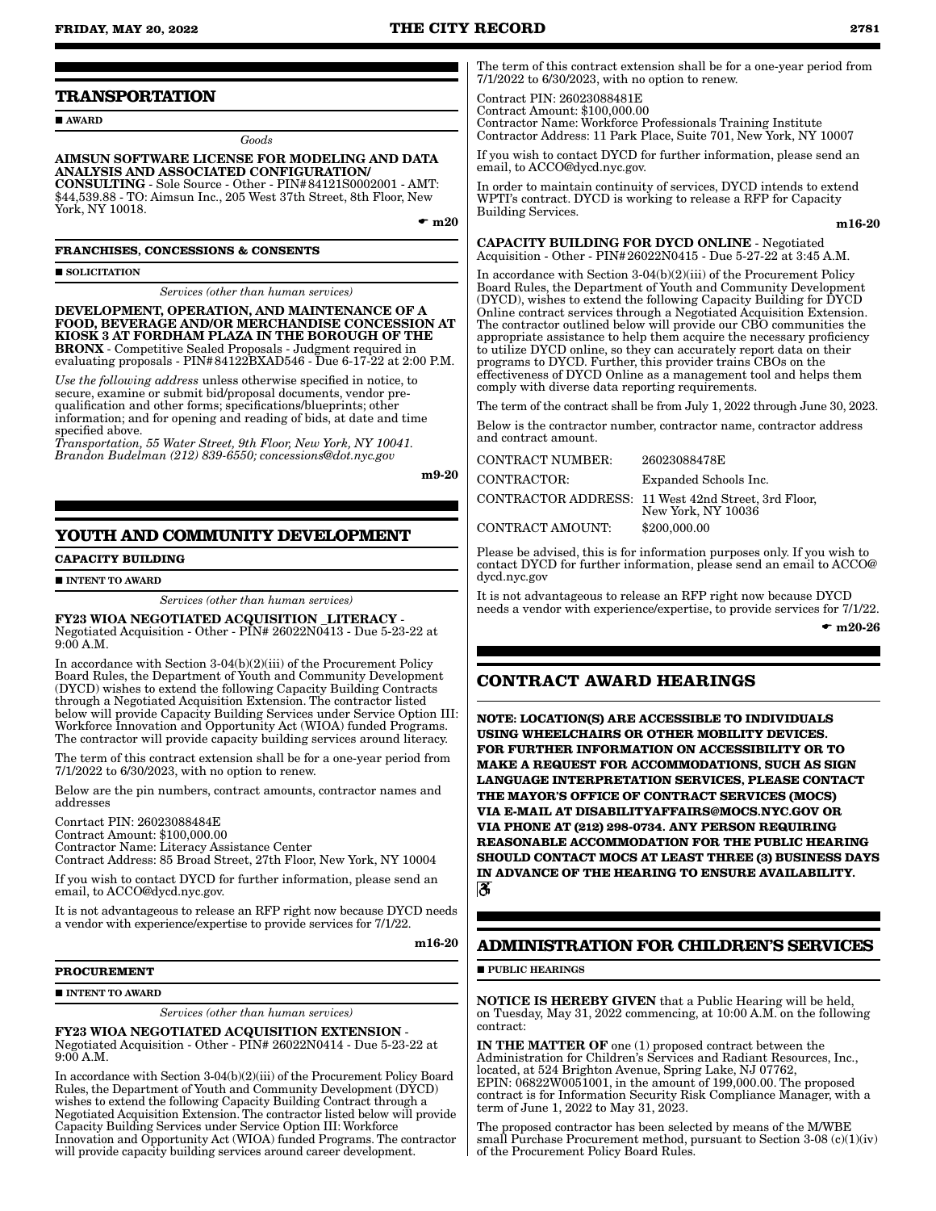# **TRANSPORTATION**

**AWARD** 

*Goods*

AIMSUN SOFTWARE LICENSE FOR MODELING AND DATA ANALYSIS AND ASSOCIATED CONFIGURATION/ CONSULTING - Sole Source - Other - PIN#84121S0002001 - AMT:

\$44,539.88 - TO: Aimsun Inc., 205 West 37th Street, 8th Floor, New York, NY 10018.

 $\bullet$  m20

**FRANCHISES, CONCESSIONS & CONSENTS**

**SOLICITATION** 

*Services (other than human services)*

DEVELOPMENT, OPERATION, AND MAINTENANCE OF A FOOD, BEVERAGE AND/OR MERCHANDISE CONCESSION AT KIOSK 3 AT FORDHAM PLAZA IN THE BOROUGH OF THE BRONX - Competitive Sealed Proposals - Judgment required in evaluating proposals - PIN#84122BXAD546 - Due 6-17-22 at 2:00 P.M.

*Use the following address* unless otherwise specified in notice, to secure, examine or submit bid/proposal documents, vendor prequalification and other forms; specifications/blueprints; other information; and for opening and reading of bids, at date and time specified above.

*Transportation, 55 Water Street, 9th Floor, New York, NY 10041. Brandon Budelman (212) 839-6550; concessions@dot.nyc.gov*

m9-20

# **YOUTH AND COMMUNITY DEVELOPMENT**

**CAPACITY BUILDING**

#### **INTENT TO AWARD**

*Services (other than human services)*

FY23 WIOA NEGOTIATED ACQUISITION \_LITERACY - Negotiated Acquisition - Other - PIN# 26022N0413 - Due 5-23-22 at 9:00 A.M.

In accordance with Section 3-04(b)(2)(iii) of the Procurement Policy Board Rules, the Department of Youth and Community Development (DYCD) wishes to extend the following Capacity Building Contracts through a Negotiated Acquisition Extension. The contractor listed below will provide Capacity Building Services under Service Option III: Workforce Innovation and Opportunity Act (WIOA) funded Programs. The contractor will provide capacity building services around literacy.

The term of this contract extension shall be for a one-year period from 7/1/2022 to 6/30/2023, with no option to renew.

Below are the pin numbers, contract amounts, contractor names and addresses

Conrtact PIN: 26023088484E

Contract Amount: \$100,000.00

Contractor Name: Literacy Assistance Center Contract Address: 85 Broad Street, 27th Floor, New York, NY 10004

If you wish to contact DYCD for further information, please send an

email, to ACCO@dycd.nyc.gov. It is not advantageous to release an RFP right now because DYCD needs a vendor with experience/expertise to provide services for 7/1/22.

m16-20

#### **PROCUREMENT**

#### **INTENT TO AWARD**

*Services (other than human services)*

FY23 WIOA NEGOTIATED ACQUISITION EXTENSION - Negotiated Acquisition - Other - PIN# 26022N0414 - Due 5-23-22 at 9:00 A.M.

In accordance with Section 3-04(b)(2)(iii) of the Procurement Policy Board Rules, the Department of Youth and Community Development (DYCD) wishes to extend the following Capacity Building Contract through a Negotiated Acquisition Extension. The contractor listed below will provide Capacity Building Services under Service Option III: Workforce Innovation and Opportunity Act (WIOA) funded Programs. The contractor will provide capacity building services around career development.

The term of this contract extension shall be for a one-year period from 7/1/2022 to 6/30/2023, with no option to renew.

Contract PIN: 26023088481E

Contract Amount: \$100,000.00 Contractor Name: Workforce Professionals Training Institute Contractor Address: 11 Park Place, Suite 701, New York, NY 10007

If you wish to contact DYCD for further information, please send an email, to ACCO@dycd.nyc.gov.

In order to maintain continuity of services, DYCD intends to extend WPTI's contract. DYCD is working to release a RFP for Capacity Building Services.

#### m16-20

CAPACITY BUILDING FOR DYCD ONLINE - Negotiated Acquisition - Other - PIN#26022N0415 - Due 5-27-22 at 3:45 A.M.

In accordance with Section 3-04(b)(2)(iii) of the Procurement Policy Board Rules, the Department of Youth and Community Development (DYCD), wishes to extend the following Capacity Building for DYCD Online contract services through a Negotiated Acquisition Extension. The contractor outlined below will provide our CBO communities the appropriate assistance to help them acquire the necessary proficiency to utilize DYCD online, so they can accurately report data on their programs to DYCD. Further, this provider trains CBOs on the effectiveness of DYCD Online as a management tool and helps them comply with diverse data reporting requirements.

The term of the contract shall be from July 1, 2022 through June 30, 2023.

Below is the contractor number, contractor name, contractor address and contract amount.

ONTRACT NUMBER: 26023088478E CONTRACTOR: Expanded Schools Inc. CONTRACTOR ADDRESS: 11 West 42nd Street, 3rd Floor,

New York, NY 10036 CONTRACT AMOUNT: \$200,000.00

Please be advised, this is for information purposes only. If you wish to contact DYCD for further information, please send an email to ACCO@ dycd.nyc.gov

It is not advantageous to release an RFP right now because DYCD needs a vendor with experience/expertise, to provide services for 7/1/22.

 $- m20-26$ 

# **CONTRACT AWARD HEARINGS**

**NOTE: LOCATION(S) ARE ACCESSIBLE TO INDIVIDUALS USING WHEELCHAIRS OR OTHER MOBILITY DEVICES. FOR FURTHER INFORMATION ON ACCESSIBILITY OR TO MAKE A REQUEST FOR ACCOMMODATIONS, SUCH AS SIGN LANGUAGE INTERPRETATION SERVICES, PLEASE CONTACT THE MAYOR'S OFFICE OF CONTRACT SERVICES (MOCS) VIA E-MAIL AT DISABILITYAFFAIRS@MOCS.NYC.GOV OR VIA PHONE AT (212) 298-0734. ANY PERSON REQUIRING REASONABLE ACCOMMODATION FOR THE PUBLIC HEARING SHOULD CONTACT MOCS AT LEAST THREE (3) BUSINESS DAYS IN ADVANCE OF THE HEARING TO ENSURE AVAILABILITY.** ð

# **ADMINISTRATION FOR CHILDREN'S SERVICES**

#### $\blacksquare$ PUBLIC HEARINGS

NOTICE IS HEREBY GIVEN that a Public Hearing will be held, on Tuesday, May 31, 2022 commencing, at 10:00 A.M. on the following contract:

IN THE MATTER OF one (1) proposed contract between the Administration for Children's Services and Radiant Resources, Inc., located, at 524 Brighton Avenue, Spring Lake, NJ 07762, EPIN: 06822W0051001, in the amount of 199,000.00. The proposed contract is for Information Security Risk Compliance Manager, with a term of June 1, 2022 to May 31, 2023.

The proposed contractor has been selected by means of the M/WBE small Purchase Procurement method, pursuant to Section 3-08 (c)(1)(iv) of the Procurement Policy Board Rules.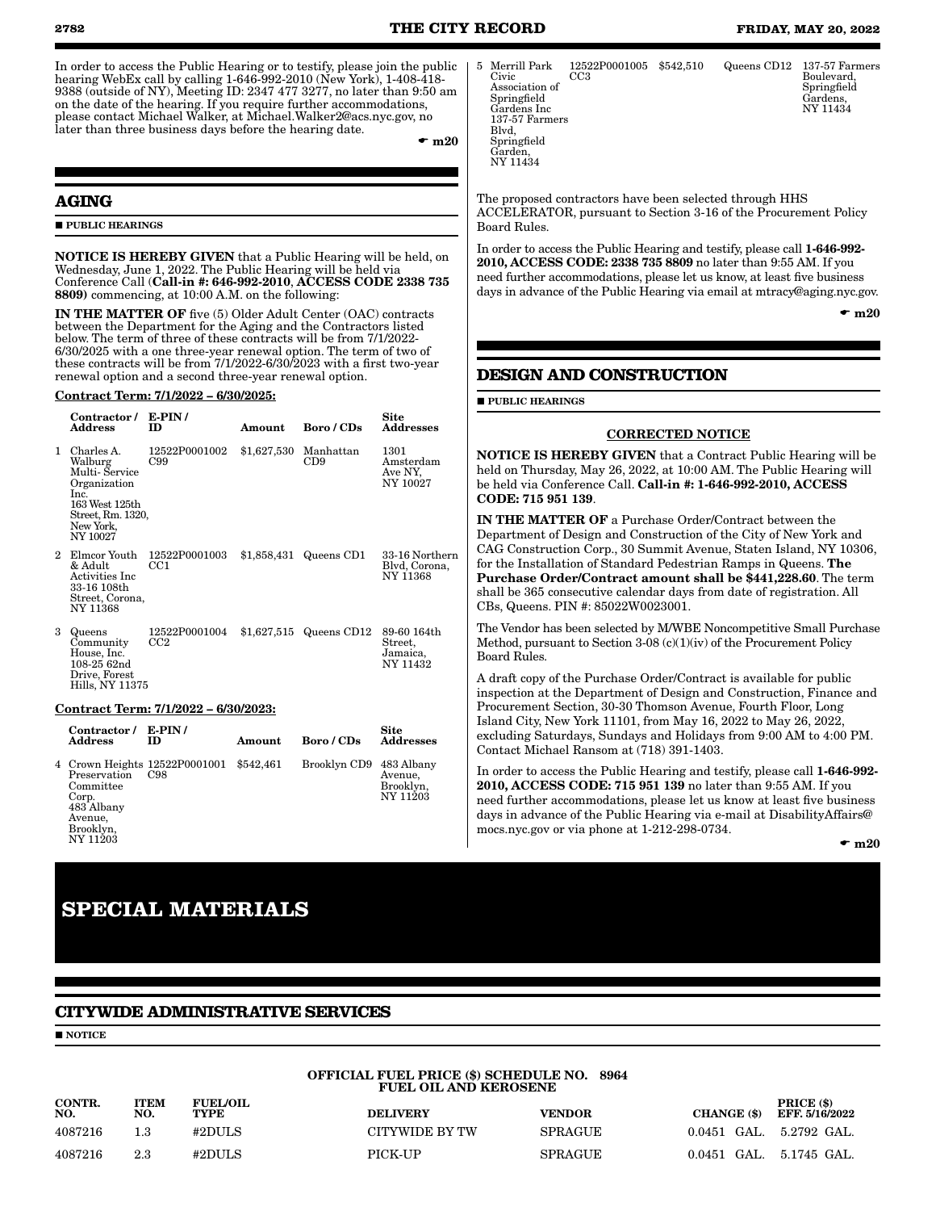In order to access the Public Hearing or to testify, please join the public hearing WebEx call by calling 1-646-992-2010 (New York), 1-408-418- 9388 (outside of NY), Meeting ID: 2347 477 3277, no later than 9:50 am on the date of the hearing. If you require further accommodations, please contact Michael Walker, at Michael.Walker2@acs.nyc.gov, no later than three business days before the hearing date.

 $\mathbf{m}$  m20

# **AGING**

**PUBLIC HEARINGS** 

NOTICE IS HEREBY GIVEN that a Public Hearing will be held, on Wednesday, June 1, 2022. The Public Hearing will be held via Conference Call (Call-in #: 646-992-2010, ACCESS CODE 2338 735 8809) commencing, at 10:00 A.M. on the following:

IN THE MATTER OF five (5) Older Adult Center (OAC) contracts between the Department for the Aging and the Contractors listed below. The term of three of these contracts will be from 7/1/2022- 6/30/2025 with a one three-year renewal option. The term of two of these contracts will be from 7/1/2022-6/30/2023 with a first two-year renewal option and a second three-year renewal option.

#### Contract Term: 7/1/2022 – 6/30/2025:

|    | Contractor /<br><b>Address</b>                                                                                                  | $E-PIN/$<br>ID                   | Amount      | Boro / CDs       | Site<br><b>Addresses</b>                       |
|----|---------------------------------------------------------------------------------------------------------------------------------|----------------------------------|-------------|------------------|------------------------------------------------|
| 1. | Charles A.<br>Walburg<br>Multi- Service<br>Organization<br>Inc.<br>163 West 125th<br>Street, Rm. 1320,<br>New York,<br>NY 10027 | 12522P0001002<br>C99             | \$1,627,530 | Manhattan<br>CD9 | 1301<br>Amsterdam<br>Ave NY,<br>NY 10027       |
| 2. | Elmcor Youth<br>& Adult<br>Activities Inc<br>33-16 108th<br>Street, Corona,<br>NY 11368                                         | 12522P0001003<br>CC1             | \$1,858,431 | Queens CD1       | 33-16 Northern<br>Blvd, Corona,<br>NY 11368    |
| 3  | Queens<br>Community<br>House, Inc.<br>108-25 62nd<br>Drive, Forest<br>Hills. NY 11375                                           | 12522P0001004<br>CC <sub>2</sub> | \$1,627,515 | Queens CD12      | 89-60 164th<br>Street,<br>Jamaica,<br>NY 11432 |

#### Contract Term: 7/1/2022 – 6/30/2023:

| Contractor / E-PIN/<br><b>Address</b>                                                | <b>ID</b>                                      | Amount | Boro / CDs              | Site<br><b>Addresses</b>         |
|--------------------------------------------------------------------------------------|------------------------------------------------|--------|-------------------------|----------------------------------|
| Preservation<br>Committee<br>Corp.<br>483 Albany<br>Avenue,<br>Brooklyn,<br>NY 11203 | 4 Crown Heights 12522P0001001 \$542,461<br>C98 |        | Brooklyn CD9 483 Albany | Avenue,<br>Brooklyn,<br>NY 11203 |

5 Merrill Park Civic Association of Springfield Gardens Inc 137-57 Farmers Blvd, Springfield Garden, NY 11434 12522P0001005 \$542,510 CC3 Queens CD12 137-57 Farmers Boulevard, Springfield Gardens, NY 11434

The proposed contractors have been selected through HHS ACCELERATOR, pursuant to Section 3-16 of the Procurement Policy Board Rules.

In order to access the Public Hearing and testify, please call 1-646-992- 2010, ACCESS CODE: 2338 735 8809 no later than 9:55 AM. If you need further accommodations, please let us know, at least five business days in advance of the Public Hearing via email at mtracy@aging.nyc.gov.

 $\mathbf{m}$  m20

# **DESIGN AND CONSTRUCTION**

**PUBLIC HEARINGS** 

#### CORRECTED NOTICE

NOTICE IS HEREBY GIVEN that a Contract Public Hearing will be held on Thursday, May 26, 2022, at 10:00 AM. The Public Hearing will be held via Conference Call. Call-in #: 1-646-992-2010, ACCESS CODE: 715 951 139.

IN THE MATTER OF a Purchase Order/Contract between the Department of Design and Construction of the City of New York and CAG Construction Corp., 30 Summit Avenue, Staten Island, NY 10306, for the Installation of Standard Pedestrian Ramps in Queens. The Purchase Order/Contract amount shall be \$441,228.60. The term shall be 365 consecutive calendar days from date of registration. All CBs, Queens. PIN #: 85022W0023001.

The Vendor has been selected by M/WBE Noncompetitive Small Purchase Method, pursuant to Section 3-08 (c)(1)(iv) of the Procurement Policy Board Rules.

A draft copy of the Purchase Order/Contract is available for public inspection at the Department of Design and Construction, Finance and Procurement Section, 30-30 Thomson Avenue, Fourth Floor, Long Island City, New York 11101, from May 16, 2022 to May 26, 2022, excluding Saturdays, Sundays and Holidays from 9:00 AM to 4:00 PM. Contact Michael Ransom at (718) 391-1403.

In order to access the Public Hearing and testify, please call 1-646-992- 2010, ACCESS CODE: 715 951 139 no later than 9:55 AM. If you need further accommodations, please let us know at least five business days in advance of the Public Hearing via e-mail at DisabilityAffairs@ mocs.nyc.gov or via phone at 1-212-298-0734.

 $\bullet$  m20

# **SPECIAL MATERIALS**

# **CITYWIDE ADMINISTRATIVE SERVICES**

# **NOTICE**

| CONTR.<br>NO. | <b>ITEM</b><br>NO. | <b>FUEL/OIL</b><br><b>TYPE</b> |
|---------------|--------------------|--------------------------------|
| 4087216       | 1.3                | #2DULS                         |
| 4087216       | 23                 | #2DULS                         |

## OFFICIAL FUEL PRICE (\$) SCHEDULE NO. 8964 FUEL OIL AND KEROSENE

DELIVERY VENDOR CHANGE (\$)

PRICE (\$) EFF. 5/16/2022  $CITYWIDE$  BY TW SPRAGUE  $0.0451$  GAL.  $5.2792$  GAL. 4087216 2.3 #2DULS PICK-UP SPRAGUE 0.0451 GAL. 5.1745 GAL.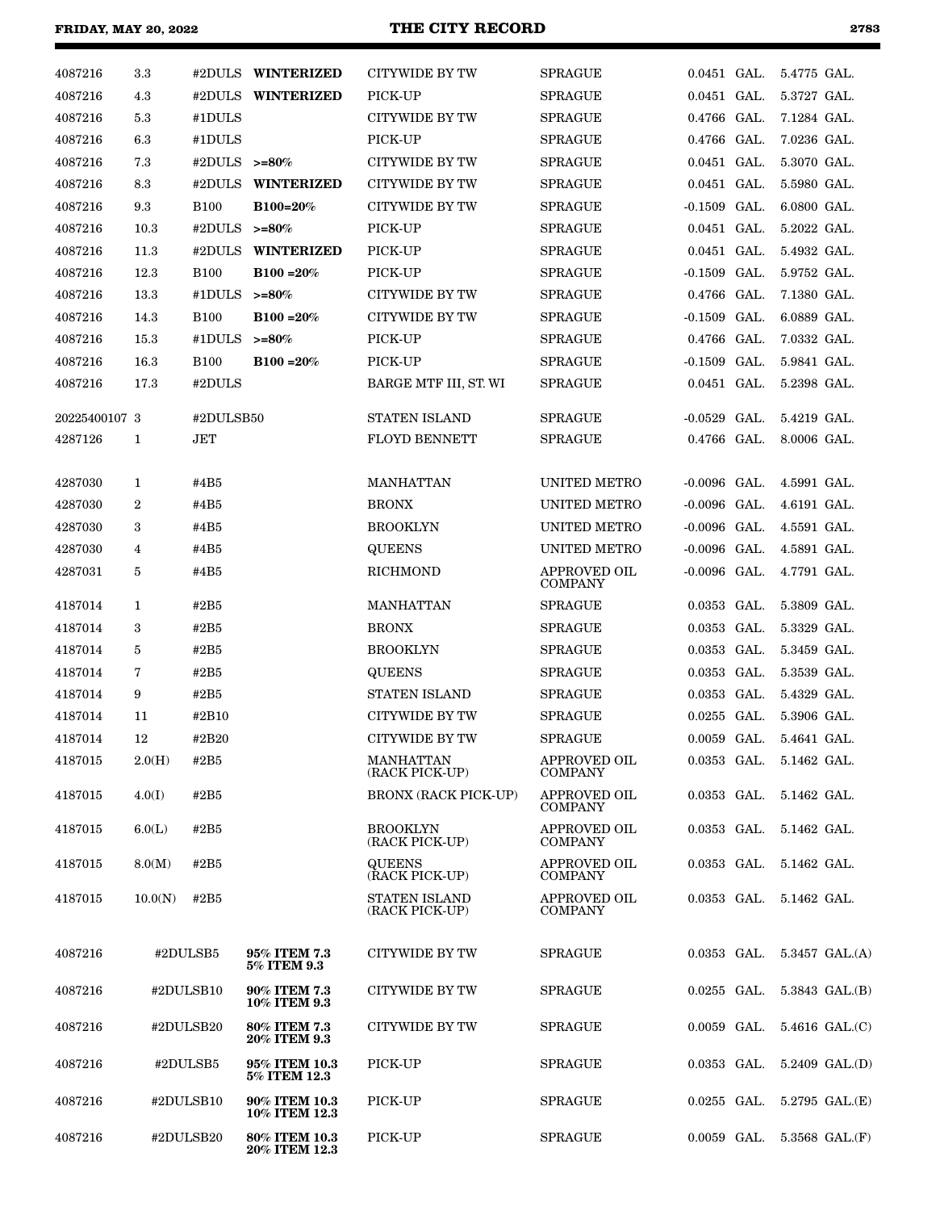# **FRIDAY, MAY 20, 2022 THE CITY RECORD 2783**

| ۰,<br>. .<br>I |
|----------------|
|----------------|

| 4087216       | $3.3\,$          |                 | #2DULS WINTERIZED                   | CITYWIDE BY TW                         | <b>SPRAGUE</b>                        | $0.0451$ GAL.  |                         | 5.4775 GAL. |                                   |
|---------------|------------------|-----------------|-------------------------------------|----------------------------------------|---------------------------------------|----------------|-------------------------|-------------|-----------------------------------|
| 4087216       | 4.3              |                 | #2DULS WINTERIZED                   | PICK-UP                                | <b>SPRAGUE</b>                        | 0.0451 GAL.    |                         | 5.3727 GAL. |                                   |
| 4087216       | 5.3              | #1DULS          |                                     | CITYWIDE BY TW                         | <b>SPRAGUE</b>                        | 0.4766 GAL.    |                         | 7.1284 GAL. |                                   |
| 4087216       | 6.3              | #1DULS          |                                     | PICK-UP                                | <b>SPRAGUE</b>                        | 0.4766 GAL.    |                         | 7.0236 GAL. |                                   |
| 4087216       | 7.3              | #2DULS $>=80\%$ |                                     | CITYWIDE BY TW                         | <b>SPRAGUE</b>                        | 0.0451 GAL.    |                         | 5.3070 GAL. |                                   |
| 4087216       | 8.3              |                 | #2DULS WINTERIZED                   | CITYWIDE BY TW                         | <b>SPRAGUE</b>                        | 0.0451 GAL.    |                         | 5.5980 GAL. |                                   |
| 4087216       | 9.3              | <b>B100</b>     | B100=20%                            | CITYWIDE BY TW                         | <b>SPRAGUE</b>                        | $-0.1509$ GAL. |                         | 6.0800 GAL. |                                   |
| 4087216       | 10.3             | #2DULS $>=80\%$ |                                     | PICK-UP                                | <b>SPRAGUE</b>                        | 0.0451 GAL.    |                         | 5.2022 GAL. |                                   |
| 4087216       | 11.3             |                 | #2DULS WINTERIZED                   | PICK-UP                                | <b>SPRAGUE</b>                        | 0.0451 GAL.    |                         | 5.4932 GAL. |                                   |
| 4087216       | 12.3             | <b>B100</b>     | $B100 = 20%$                        | PICK-UP                                | <b>SPRAGUE</b>                        | $-0.1509$ GAL. |                         | 5.9752 GAL. |                                   |
| 4087216       | 13.3             | #1DULS $>=80\%$ |                                     | CITYWIDE BY TW                         | <b>SPRAGUE</b>                        | 0.4766 GAL.    |                         | 7.1380 GAL. |                                   |
| 4087216       | 14.3             | <b>B100</b>     | $B100 = 20%$                        | CITYWIDE BY TW                         | <b>SPRAGUE</b>                        | $-0.1509$ GAL. |                         | 6.0889 GAL. |                                   |
| 4087216       | 15.3             | #1DULS $>=80\%$ |                                     | PICK-UP                                | <b>SPRAGUE</b>                        | $0.4766$ GAL.  |                         | 7.0332 GAL. |                                   |
| 4087216       | 16.3             | <b>B100</b>     | $B100 = 20%$                        | PICK-UP                                | <b>SPRAGUE</b>                        | $-0.1509$ GAL. |                         | 5.9841 GAL. |                                   |
| 4087216       | 17.3             | #2DULS          |                                     | BARGE MTF III, ST. WI                  | <b>SPRAGUE</b>                        | 0.0451 GAL.    |                         | 5.2398 GAL. |                                   |
| 20225400107 3 |                  | #2DULSB50       |                                     | <b>STATEN ISLAND</b>                   | <b>SPRAGUE</b>                        | $-0.0529$ GAL. |                         | 5.4219 GAL. |                                   |
| 4287126       | $\mathbf{1}$     | JET             |                                     | <b>FLOYD BENNETT</b>                   | <b>SPRAGUE</b>                        | 0.4766 GAL.    |                         | 8.0006 GAL. |                                   |
|               |                  |                 |                                     |                                        |                                       |                |                         |             |                                   |
| 4287030       | 1                | #4B5            |                                     | <b>MANHATTAN</b>                       | UNITED METRO                          | $-0.0096$ GAL. |                         | 4.5991 GAL. |                                   |
| 4287030       | $\boldsymbol{2}$ | #4B5            |                                     | <b>BRONX</b>                           | UNITED METRO                          | $-0.0096$ GAL. |                         | 4.6191 GAL. |                                   |
| 4287030       | 3                | #4B5            |                                     | <b>BROOKLYN</b>                        | UNITED METRO                          | $-0.0096$ GAL. |                         | 4.5591 GAL. |                                   |
| 4287030       | 4                | #4B5            |                                     | <b>QUEENS</b>                          | UNITED METRO                          | $-0.0096$ GAL. |                         | 4.5891 GAL. |                                   |
| 4287031       | 5                | #4B5            |                                     | RICHMOND                               | <b>APPROVED OIL</b><br><b>COMPANY</b> | $-0.0096$ GAL. |                         | 4.7791 GAL. |                                   |
| 4187014       | 1                | #2B5            |                                     | MANHATTAN                              | <b>SPRAGUE</b>                        | $0.0353$ GAL.  |                         | 5.3809 GAL. |                                   |
| 4187014       | 3                | #2B5            |                                     | <b>BRONX</b>                           | <b>SPRAGUE</b>                        | 0.0353 GAL.    |                         | 5.3329 GAL. |                                   |
| 4187014       | 5                | #2B5            |                                     | <b>BROOKLYN</b>                        | <b>SPRAGUE</b>                        | 0.0353 GAL.    |                         | 5.3459 GAL. |                                   |
| 4187014       | 7                | #2B5            |                                     | <b>QUEENS</b>                          | <b>SPRAGUE</b>                        | 0.0353 GAL.    |                         | 5.3539 GAL. |                                   |
| 4187014       | 9                | #2B5            |                                     | <b>STATEN ISLAND</b>                   | <b>SPRAGUE</b>                        | 0.0353 GAL.    |                         | 5.4329 GAL. |                                   |
| 4187014       | 11               | #2B10           |                                     | <b>CITYWIDE BY TW</b>                  | <b>SPRAGUE</b>                        | 0.0255 GAL.    |                         | 5.3906 GAL. |                                   |
| 4187014       | 12               | #2B20           |                                     | CITYWIDE BY TW                         | <b>SPRAGUE</b>                        | 0.0059 GAL.    |                         | 5.4641 GAL. |                                   |
| 4187015       | 2.0(H)           | #2B5            |                                     | MANHATTAN<br>(RACK PICK-UP)            | <b>APPROVED OIL</b><br><b>COMPANY</b> |                | 0.0353 GAL. 5.1462 GAL. |             |                                   |
| 4187015       | 4.0(I)           | #2B5            |                                     | <b>BRONX (RACK PICK-UP)</b>            | APPROVED OIL<br><b>COMPANY</b>        | 0.0353 GAL.    |                         | 5.1462 GAL. |                                   |
| 4187015       | 6.0(L)           | #2B5            |                                     | <b>BROOKLYN</b><br>(RACK PICK-UP)      | APPROVED OIL<br><b>COMPANY</b>        | $0.0353$ GAL.  |                         | 5.1462 GAL. |                                   |
| 4187015       | 8.0(M)           | #2B5            |                                     | <b>QUEENS</b><br>(RACK PICK-UP)        | APPROVED OIL<br><b>COMPANY</b>        | $0.0353$ GAL.  |                         | 5.1462 GAL. |                                   |
| 4187015       | 10.0(N)          | #2B5            |                                     | <b>STATEN ISLAND</b><br>(RACK PICK-UP) | <b>APPROVED OIL</b><br><b>COMPANY</b> | $0.0353$ GAL.  |                         | 5.1462 GAL. |                                   |
| 4087216       | #2DULSB5         |                 | 95% ITEM 7.3<br>5% ITEM 9.3         | CITYWIDE BY TW                         | <b>SPRAGUE</b>                        | $0.0353$ GAL.  |                         |             | $5.3457 \text{ GAL}$ .(A)         |
| 4087216       | #2DULSB10        |                 | 90% ITEM 7.3<br>10% ITEM 9.3        | CITYWIDE BY TW                         | <b>SPRAGUE</b>                        | 0.0255 GAL.    |                         |             | 5.3843 GAL.(B)                    |
| 4087216       | #2DULSB20        |                 | <b>80% ITEM 7.3</b><br>20% ITEM 9.3 | CITYWIDE BY TW                         | <b>SPRAGUE</b>                        | 0.0059 GAL.    |                         |             | 5.4616 GAL.(C)                    |
| 4087216       | #2DULSB5         |                 | 95% ITEM 10.3<br>5% ITEM 12.3       | PICK-UP                                | <b>SPRAGUE</b>                        | $0.0353$ GAL.  |                         |             | 5.2409 GAL.(D)                    |
| 4087216       | #2DULSB10        |                 | 90% ITEM 10.3<br>10% ITEM 12.3      | PICK-UP                                | <b>SPRAGUE</b>                        | $0.0255$ GAL.  |                         |             | 5.2795 GAL.(E)                    |
| 4087216       | #2DULSB20        |                 | 80% ITEM 10.3<br>20% ITEM 12.3      | PICK-UP                                | <b>SPRAGUE</b>                        |                |                         |             | $0.0059$ GAL. $5.3568$ GAL. $(F)$ |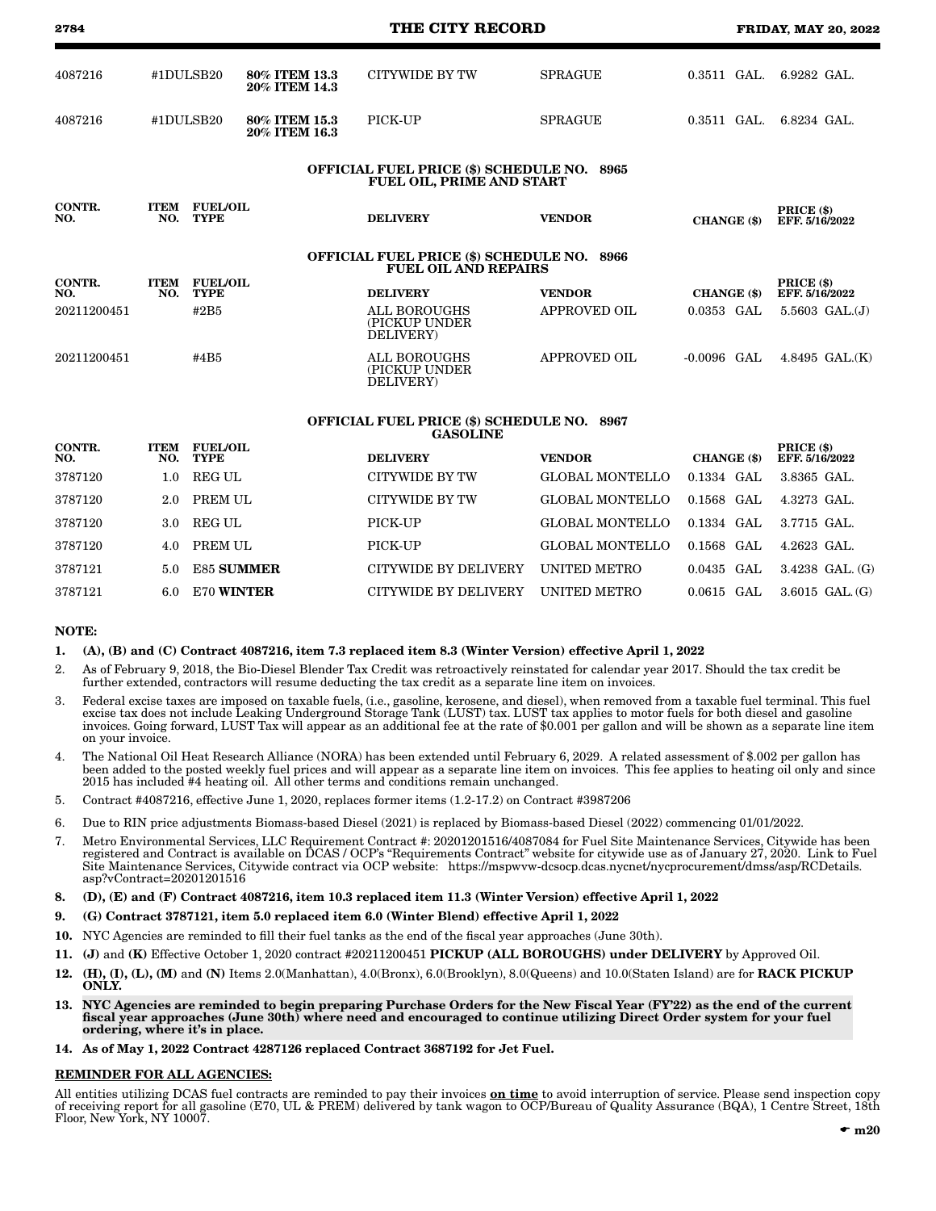| 2784          |                    |                                |                                | THE CITY RECORD                                                                  |                        |               | <b>FRIDAY, MAY 20, 2022</b>  |
|---------------|--------------------|--------------------------------|--------------------------------|----------------------------------------------------------------------------------|------------------------|---------------|------------------------------|
| 4087216       |                    | #1DULSB20                      | 80% ITEM 13.3<br>20% ITEM 14.3 | <b>CITYWIDE BY TW</b>                                                            | <b>SPRAGUE</b>         | $0.3511$ GAL. | $6.9282$ GAL.                |
| 4087216       |                    | #1DULSB20                      | 80% ITEM 15.3<br>20% ITEM 16.3 | PICK-UP                                                                          | <b>SPRAGUE</b>         | $0.3511$ GAL. | 6.8234 GAL.                  |
|               |                    |                                |                                | OFFICIAL FUEL PRICE (\$) SCHEDULE NO. 8965<br><b>FUEL OIL, PRIME AND START</b>   |                        |               |                              |
| CONTR.<br>NO. | <b>ITEM</b><br>NO. | <b>FUEL/OIL</b><br><b>TYPE</b> |                                | <b>DELIVERY</b>                                                                  | <b>VENDOR</b>          | CHANGE (\$)   | PRICE (\$)<br>EFF. 5/16/2022 |
|               |                    |                                |                                | <b>OFFICIAL FUEL PRICE (\$) SCHEDULE NO. 8966</b><br><b>FUEL OIL AND REPAIRS</b> |                        |               |                              |
| CONTR.<br>NO. | <b>ITEM</b><br>NO. | <b>FUEL/OIL</b><br><b>TYPE</b> |                                | <b>DELIVERY</b>                                                                  | <b>VENDOR</b>          | CHANGE (\$)   | PRICE (\$)<br>EFF. 5/16/2022 |
| 20211200451   |                    | #2B5                           |                                | <b>ALL BOROUGHS</b><br>(PICKUP UNDER<br>DELIVERY)                                | <b>APPROVED OIL</b>    | $0.0353$ GAL  | $5.5603$ GAL. $(J)$          |
| 20211200451   |                    | #4B5                           |                                | <b>ALL BOROUGHS</b><br>(PICKUP UNDER<br>DELIVERY)                                | <b>APPROVED OIL</b>    | $-0.0096$ GAL | 4.8495 GAL.(K)               |
|               |                    |                                |                                | <b>OFFICIAL FUEL PRICE (\$) SCHEDULE NO. 8967</b><br><b>GASOLINE</b>             |                        |               |                              |
| CONTR.<br>NO. | <b>ITEM</b><br>NO. | <b>FUEL/OIL</b><br><b>TYPE</b> |                                | <b>DELIVERY</b>                                                                  | <b>VENDOR</b>          | CHANGE (\$)   | PRICE (\$)<br>EFF. 5/16/2022 |
| 3787120       | 1.0                | <b>REG UL</b>                  |                                | <b>CITYWIDE BY TW</b>                                                            | <b>GLOBAL MONTELLO</b> | 0.1334 GAL    | 3.8365 GAL.                  |
| 3787120       | 2.0                | PREM UL                        |                                | <b>CITYWIDE BY TW</b>                                                            | <b>GLOBAL MONTELLO</b> | 0.1568 GAL    | 4.3273 GAL.                  |

|    | 1. (A), (B) and (C) Contract 4087216, item 7.3 replaced item 8.3 (Winter Version) effective April 1, 2022                                                                                                                                                                                |
|----|------------------------------------------------------------------------------------------------------------------------------------------------------------------------------------------------------------------------------------------------------------------------------------------|
|    | As of February 9, 2018, the Bio-Diesel Blender Tax Credit was retroactively reinstated for calendar year 2017. Should the tax credit be<br>further extended, contractors will resume deducting the tax credit as a separate line item on invoices.                                       |
| 3. | Federal excise taxes are imposed on taxable fuels, (i.e., gasoline, kerosene, and diesel), when removed from a taxable fuel terminal. This fuel<br>excise tax does not include Leaking Underground Storage Tank (LUST) tax. LUST tax applies to motor fuels for both diesel and gasoline |

- invoices. Going forward, LUST Tax will appear as an additional fee at the rate of \$0.001 per gallon and will be shown as a separate line item on your invoice. 4. The National Oil Heat Research Alliance (NORA) has been extended until February 6, 2029. A related assessment of \$.002 per gallon has
- been added to the posted weekly fuel prices and will appear as a separate line item on invoices. This fee applies to heating oil only and since 2015 has included #4 heating oil. All other terms and conditions remain unchanged.
- 5. Contract #4087216, effective June 1, 2020, replaces former items (1.2-17.2) on Contract #3987206
- 6. Due to RIN price adjustments Biomass-based Diesel (2021) is replaced by Biomass-based Diesel (2022) commencing 01/01/2022.
- 7. Metro Environmental Services, LLC Requirement Contract #: 20201201516/4087084 for Fuel Site Maintenance Services, Citywide has been registered and Contract is available on DCAS / OCP's "Requirements Contract" website for citywide use as of January 27, 2020. Link to Fuel Site Maintenance Services, Citywide contract via OCP website: https://mspwvw-dcsocp.dcas.nycnet/nycprocurement/dmss/asp/RCDetails. asp?vContract=20201201516
- 8. (D), (E) and (F) Contract 4087216, item 10.3 replaced item 11.3 (Winter Version) effective April 1, 2022
- 9. (G) Contract 3787121, item 5.0 replaced item 6.0 (Winter Blend) effective April 1, 2022
- 10. NYC Agencies are reminded to fill their fuel tanks as the end of the fiscal year approaches (June 30th).
- 11. (J) and (K) Effective October 1, 2020 contract #20211200451 PICKUP (ALL BOROUGHS) under DELIVERY by Approved Oil.
- 12. (H), (I), (L), (M) and (N) Items 2.0(Manhattan), 4.0(Bronx), 6.0(Brooklyn), 8.0(Queens) and 10.0(Staten Island) are for RACK PICKUP ONLY.
- 13. NYC Agencies are reminded to begin preparing Purchase Orders for the New Fiscal Year (FY'22) as the end of the current fiscal year approaches (June 30th) where need and encouraged to continue utilizing Direct Order system for your fuel ordering, where it's in place.
- 14. As of May 1, 2022 Contract 4287126 replaced Contract 3687192 for Jet Fuel.

#### REMINDER FOR ALL AGENCIES:

All entities utilizing DCAS fuel contracts are reminded to pay their invoices **on time** to avoid interruption of service. Please send inspection copy of receiving report for all gasoline (E70, UL & PREM) delivered by tank wagon to OCP/Bureau of Quality Assurance (BQA), 1 Centre Street, 18th Floor, New York, NY 10007.

 3.0 REG UL PICK-UP GLOBAL MONTELLO 0.1334 GAL 3.7715 GAL. 4.0 PREM UL PICK-UP GLOBAL MONTELLO 0.1568 GAL 4.2623 GAL. 5.0 E85 SUMMER CITYWIDE BY DELIVERY UNITED METRO 0.0435 GAL 3.4238 GAL. (G) 6.0 E70 WINTER CITYWIDE BY DELIVERY UNITED METRO 0.0615 GAL 3.6015 GAL. (G)

### NOTE: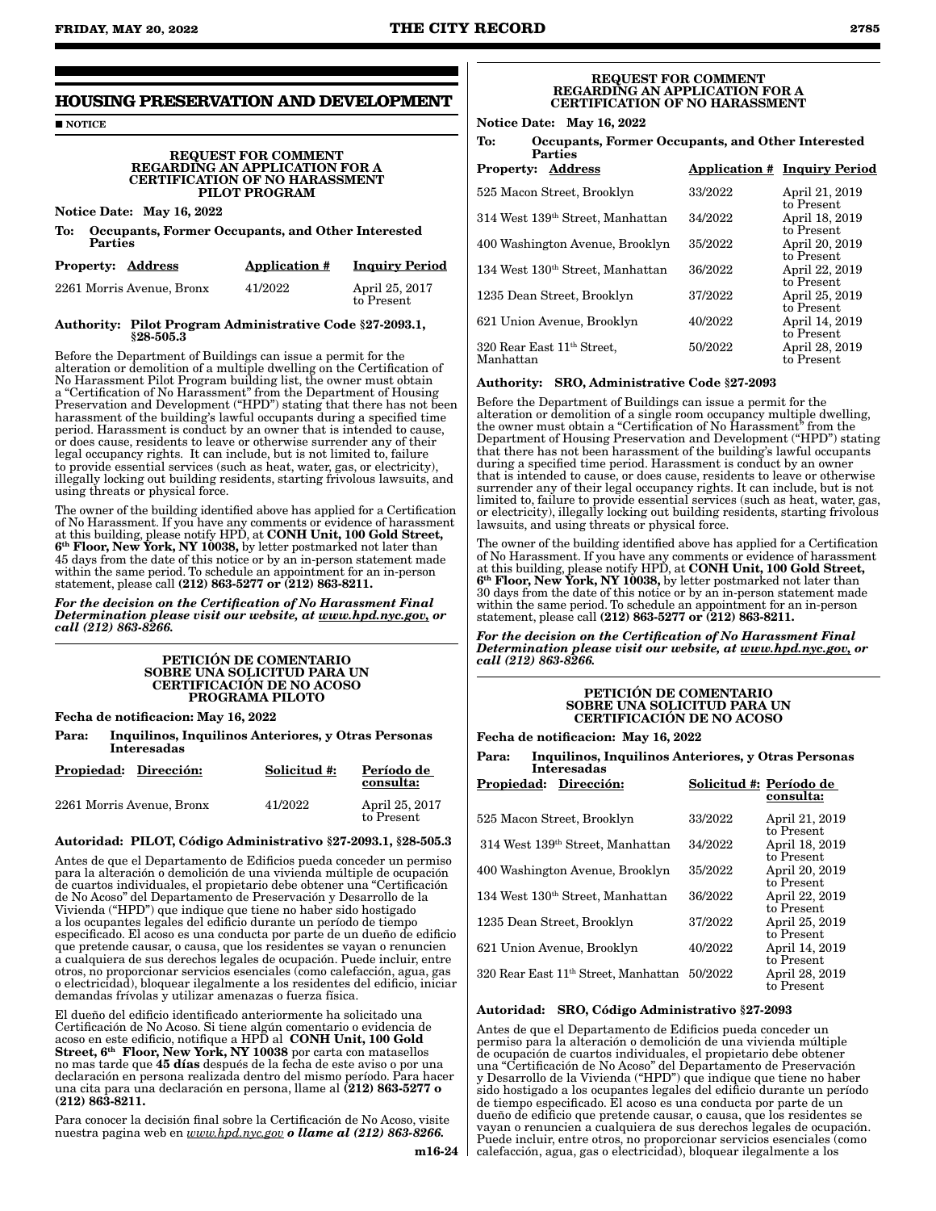# **HOUSING PRESERVATION AND DEVELOPMENT**

**NOTICE** 

#### REQUEST FOR COMMENT REGARDING AN APPLICATION FOR A CERTIFICATION OF NO HARASSMENT PILOT PROGRAM

# Notice Date: May 16, 2022

To: Occupants, Former Occupants, and Other Interested Parties

| <b>Property: Address</b>  | <b>Application #</b> | <b>Inquiry Period</b>        |
|---------------------------|----------------------|------------------------------|
| 2261 Morris Avenue, Bronx | 41/2022              | April 25, 2017<br>to Present |

#### Authority: Pilot Program Administrative Code §27-2093.1, §28-505.3

Before the Department of Buildings can issue a permit for the alteration or demolition of a multiple dwelling on the Certification of No Harassment Pilot Program building list, the owner must obtain a "Certification of No Harassment" from the Department of Housing Preservation and Development ("HPD") stating that there has not been harassment of the building's lawful occupants during a specified time period. Harassment is conduct by an owner that is intended to cause, or does cause, residents to leave or otherwise surrender any of their legal occupancy rights. It can include, but is not limited to, failure to provide essential services (such as heat, water, gas, or electricity), illegally locking out building residents, starting frivolous lawsuits, and using threats or physical force.

The owner of the building identified above has applied for a Certification of No Harassment. If you have any comments or evidence of harassment at this building, please notify HPD, at CONH Unit, 100 Gold Street, 6th Floor, New York, NY 10038, by letter postmarked not later than 45 days from the date of this notice or by an in-person statement made within the same period. To schedule an appointment for an in-person statement, please call (212) 863-5277 or (212) 863-8211.

*For the decision on the Certification of No Harassment Final Determination please visit our website, at www.hpd.nyc.gov, or call (212) 863-8266.*

#### PETICIÓN DE COMENTARIO SOBRE UNA SOLICITUD PARA UN CERTIFICACIÓN DE NO ACOSO PROGRAMA PILOTO

Fecha de notificacion: May 16, 2022

Para: Inquilinos, Inquilinos Anteriores, y Otras Personas Interesadas

| Propiedad: Dirección:     | Solicitud #: | Período de<br>consulta:      |
|---------------------------|--------------|------------------------------|
| 2261 Morris Avenue, Bronx | 41/2022      | April 25, 2017<br>to Present |

# Autoridad: PILOT, Código Administrativo §27-2093.1, §28-505.3

Antes de que el Departamento de Edificios pueda conceder un permiso para la alteración o demolición de una vivienda múltiple de ocupación de cuartos individuales, el propietario debe obtener una "Certificación de No Acoso" del Departamento de Preservación y Desarrollo de la Vivienda ("HPD") que indique que tiene no haber sido hostigado a los ocupantes legales del edificio durante un período de tiempo especificado. El acoso es una conducta por parte de un dueño de edificio que pretende causar, o causa, que los residentes se vayan o renuncien a cualquiera de sus derechos legales de ocupación. Puede incluir, entre otros, no proporcionar servicios esenciales (como calefacción, agua, gas o electricidad), bloquear ilegalmente a los residentes del edificio, iniciar demandas frívolas y utilizar amenazas o fuerza física.

El dueño del edificio identificado anteriormente ha solicitado una Certificación de No Acoso. Si tiene algún comentario o evidencia de acoso en este edificio, notifique a HPD al CONH Unit, 100 Gold Street, 6<sup>th</sup> Floor, New York, NY 10038 por carta con matasellos no mas tarde que 45 días después de la fecha de este aviso o por una declaración en persona realizada dentro del mismo período. Para hacer una cita para una declaración en persona, llame al (212) 863-5277 o (212) 863-8211.

Para conocer la decisión final sobre la Certificación de No Acoso, visite nuestra pagina web en *www.hpd.nyc.gov o llame al (212) 863-8266.*

#### REQUEST FOR COMMENT REGARDING AN APPLICATION FOR A CERTIFICATION OF NO HARASSMENT

Notice Date: May 16, 2022

To: Occupants, Former Occupants, and Other Interested

| <b>Parties</b>                                      |         |                                            |
|-----------------------------------------------------|---------|--------------------------------------------|
| Address<br><b>Property:</b>                         |         | <b>Application # Inquiry Period</b>        |
| 525 Macon Street, Brooklyn                          | 33/2022 | April 21, 2019                             |
| 314 West 139th Street, Manhattan                    | 34/2022 | to Present<br>April 18, 2019<br>to Present |
| 400 Washington Avenue, Brooklyn                     | 35/2022 | April 20, 2019                             |
| 134 West 130 <sup>th</sup> Street, Manhattan        | 36/2022 | to Present<br>April 22, 2019<br>to Present |
| 1235 Dean Street, Brooklyn                          | 37/2022 | April 25, 2019                             |
| 621 Union Avenue, Brooklyn                          | 40/2022 | to Present<br>April 14, 2019<br>to Present |
| 320 Rear East 11 <sup>th</sup> Street,<br>Manhattan | 50/2022 | April 28, 2019<br>to Present               |

#### Authority: SRO, Administrative Code §27-2093

Before the Department of Buildings can issue a permit for the alteration or demolition of a single room occupancy multiple dwelling, the owner must obtain a "Certification of No Harassment" from the Department of Housing Preservation and Development ("HPD") stating that there has not been harassment of the building's lawful occupants during a specified time period. Harassment is conduct by an owner that is intended to cause, or does cause, residents to leave or otherwise surrender any of their legal occupancy rights. It can include, but is not limited to, failure to provide essential services (such as heat, water, gas, or electricity), illegally locking out building residents, starting frivolous lawsuits, and using threats or physical force.

The owner of the building identified above has applied for a Certification of No Harassment. If you have any comments or evidence of harassment<br>at this building, please notify HPD, at **CONH Unit, 100 Gold Street,** 6<sup>th</sup> Floor, New York, NY 10038, by letter postmarked not later than 30 days from the date of this notice or by an in-person statement made within the same period. To schedule an appointment for an in-person statement, please call (212) 863-5277 or (212) 863-8211.

*For the decision on the Certification of No Harassment Final Determination please visit our website, at www.hpd.nyc.gov, or call (212) 863-8266.*

#### PETICIÓN DE COMENTARIO SOBRE UNA SOLICITUD PARA UN CERTIFICACIÓN DE NO ACOSO

Fecha de notificacion: May 16, 2022

Para: Inquilinos, Inquilinos Anteriores, y Otras Personas Interesadas

| <b>Propiedad:</b><br>Dirección:                  | Solicitud #: Período de | consulta:                    |
|--------------------------------------------------|-------------------------|------------------------------|
| 525 Macon Street, Brooklyn                       | 33/2022                 | April 21, 2019<br>to Present |
| 314 West 139th Street, Manhattan                 | 34/2022                 | April 18, 2019<br>to Present |
| 400 Washington Avenue, Brooklyn                  | 35/2022                 | April 20, 2019<br>to Present |
| 134 West 130 <sup>th</sup> Street, Manhattan     | 36/2022                 | April 22, 2019<br>to Present |
| 1235 Dean Street, Brooklyn                       | 37/2022                 | April 25, 2019<br>to Present |
| 621 Union Avenue, Brooklyn                       | 40/2022                 | April 14, 2019<br>to Present |
| 320 Rear East 11 <sup>th</sup> Street, Manhattan | 50/2022                 | April 28, 2019<br>to Present |

#### Autoridad: SRO, Código Administrativo §27-2093

Antes de que el Departamento de Edificios pueda conceder un permiso para la alteración o demolición de una vivienda múltiple de ocupación de cuartos individuales, el propietario debe obtener una "Certificación de No Acoso" del Departamento de Preservación y Desarrollo de la Vivienda ("HPD") que indique que tiene no haber sido hostigado a los ocupantes legales del edificio durante un período de tiempo especificado. El acoso es una conducta por parte de un dueño de edificio que pretende causar, o causa, que los residentes se vayan o renuncien a cualquiera de sus derechos legales de ocupación. Puede incluir, entre otros, no proporcionar servicios esenciales (como calefacción, agua, gas o electricidad), bloquear ilegalmente a los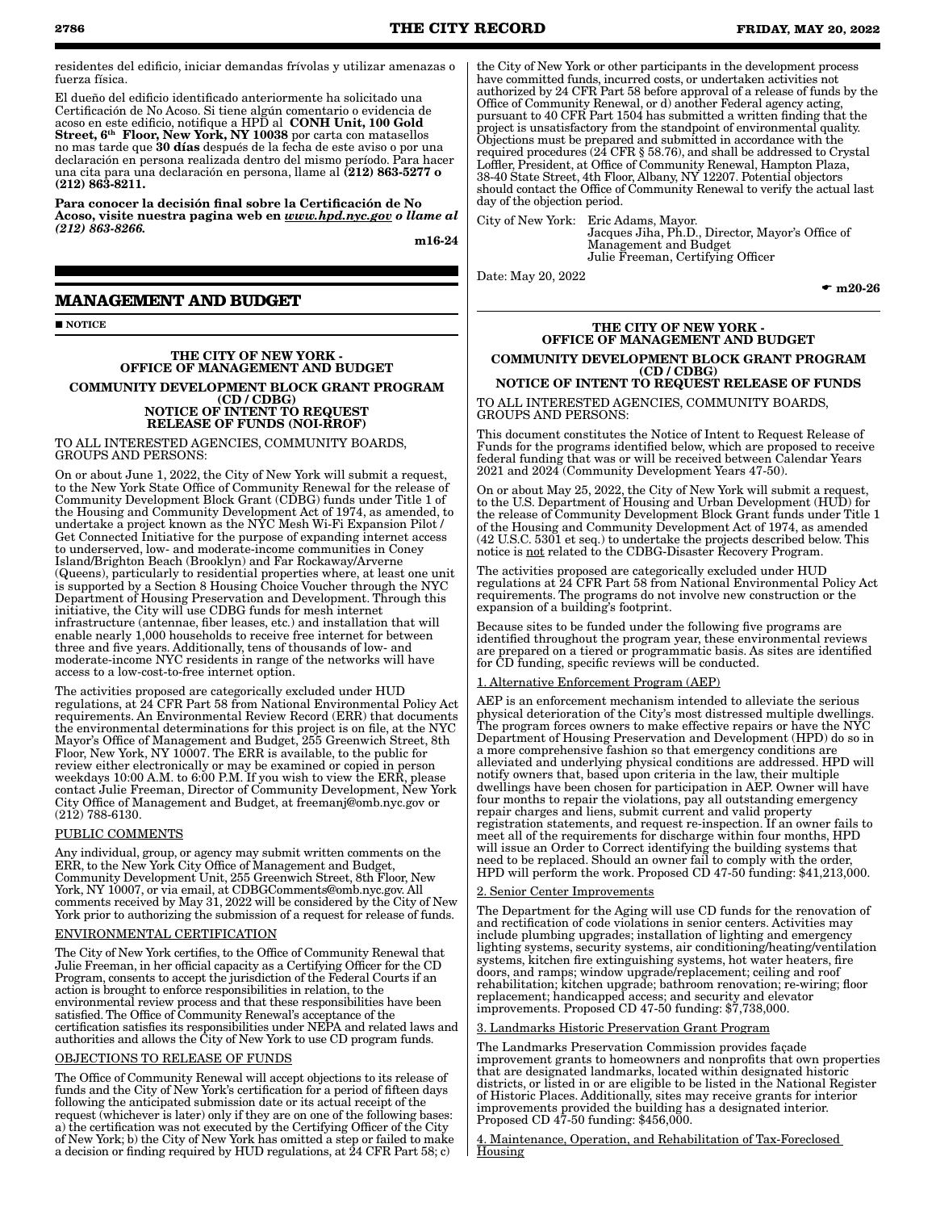residentes del edificio, iniciar demandas frívolas y utilizar amenazas o fuerza física.

El dueño del edificio identificado anteriormente ha solicitado una Certificación de No Acoso. Si tiene algún comentario o evidencia de acoso en este edificio, notifique a HPD al CONH Unit, 100 Gold Street, 6<sup>th</sup> Floor, New York, NY 10038 por carta con matasellos no mas tarde que 30 días después de la fecha de este aviso o por una declaración en persona realizada dentro del mismo período. Para hacer una cita para una declaración en persona, llame al (212) 863-5277 o (212) 863-8211.

Para conocer la decisión final sobre la Certificación de No Acoso, visite nuestra pagina web en *www.hpd.nyc.gov o llame al (212) 863-8266.*

m16-24

# **MANAGEMENT AND BUDGET**

**NOTICE** 

# THE CITY OF NEW YORK - OFFICE OF MANAGEMENT AND BUDGET

#### COMMUNITY DEVELOPMENT BLOCK GRANT PROGRAM (CD / CDBG) NOTICE OF INTENT TO REQUEST RELEASE OF FUNDS (NOI-RROF)

TO ALL INTERESTED AGENCIES, COMMUNITY BOARDS, GROUPS AND PERSONS:

On or about June 1, 2022, the City of New York will submit a request, to the New York State Office of Community Renewal for the release of Community Development Block Grant (CDBG) funds under Title 1 of the Housing and Community Development Act of 1974, as amended, to undertake a project known as the NYC Mesh Wi-Fi Expansion Pilot / Get Connected Initiative for the purpose of expanding internet access to underserved, low- and moderate-income communities in Coney Island/Brighton Beach (Brooklyn) and Far Rockaway/Arverne (Queens), particularly to residential properties where, at least one unit is supported by a Section 8 Housing Choice Voucher through the NYC Department of Housing Preservation and Development. Through this initiative, the City will use CDBG funds for mesh internet infrastructure (antennae, fiber leases, etc.) and installation that will enable nearly 1,000 households to receive free internet for between three and five years. Additionally, tens of thousands of low- and moderate-income NYC residents in range of the networks will have access to a low-cost-to-free internet option.

The activities proposed are categorically excluded under HUD regulations, at 24 CFR Part 58 from National Environmental Policy Act requirements. An Environmental Review Record (ERR) that documents the environmental determinations for this project is on file, at the NYC Mayor's Office of Management and Budget, 255 Greenwich Street, 8th Floor, New York, NY 10007. The ERR is available, to the public for review either electronically or may be examined or copied in person weekdays 10:00 A.M. to 6:00 P.M. If you wish to view the ERR, please contact Julie Freeman, Director of Community Development, New York City Office of Management and Budget, at freemanj@omb.nyc.gov or (212) 788-6130.

#### PUBLIC COMMENTS

Any individual, group, or agency may submit written comments on the ERR, to the New York City Office of Management and Budget, Community Development Unit, 255 Greenwich Street, 8th Floor, New York, NY 10007, or via email, at CDBGComments@omb.nyc.gov. All comments received by May 31, 2022 will be considered by the City of New York prior to authorizing the submission of a request for release of funds.

# ENVIRONMENTAL CERTIFICATION

The City of New York certifies, to the Office of Community Renewal that Julie Freeman, in her official capacity as a Certifying Officer for the CD Program, consents to accept the jurisdiction of the Federal Courts if an action is brought to enforce responsibilities in relation, to the environmental review process and that these responsibilities have been satisfied. The Office of Community Renewal's acceptance of the certification satisfies its responsibilities under NEPA and related laws and authorities and allows the City of New York to use CD program funds.

# OBJECTIONS TO RELEASE OF FUNDS

The Office of Community Renewal will accept objections to its release of funds and the City of New York's certification for a period of fifteen days following the anticipated submission date or its actual receipt of the request (whichever is later) only if they are on one of the following bases: a) the certification was not executed by the Certifying Officer of the City of New York; b) the City of New York has omitted a step or failed to make a decision or finding required by HUD regulations, at 24 CFR Part 58; c)

the City of New York or other participants in the development process have committed funds, incurred costs, or undertaken activities not authorized by 24 CFR Part 58 before approval of a release of funds by the Office of Community Renewal, or d) another Federal agency acting, pursuant to 40 CFR Part 1504 has submitted a written finding that the project is unsatisfactory from the standpoint of environmental quality. Objections must be prepared and submitted in accordance with the required procedures (24 CFR § 58.76), and shall be addressed to Crystal Loffler, President, at Office of Community Renewal, Hampton Plaza, 38-40 State Street, 4th Floor, Albany, NY 12207. Potential objectors should contact the Office of Community Renewal to verify the actual last day of the objection period.

City of New York: Eric Adams, Mayor.

Jacques Jiha, Ph.D., Director, Mayor's Office of Management and Budget Julie Freeman, Certifying Officer

Date: May 20, 2022

 $\bullet$  m20-26

#### THE CITY OF NEW YORK - OFFICE OF MANAGEMENT AND BUDGET COMMUNITY DEVELOPMENT BLOCK GRANT PROGRAM (CD / CDBG)

NOTICE OF INTENT TO REQUEST RELEASE OF FUNDS TO ALL INTERESTED AGENCIES, COMMUNITY BOARDS, GROUPS AND PERSONS:

This document constitutes the Notice of Intent to Request Release of Funds for the programs identified below, which are proposed to receive federal funding that was or will be received between Calendar Years 2021 and 2024 (Community Development Years 47-50).

On or about May 25, 2022, the City of New York will submit a request, to the U.S. Department of Housing and Urban Development (HUD) for the release of Community Development Block Grant funds under Title 1 of the Housing and Community Development Act of 1974, as amended (42 U.S.C. 5301 et seq.) to undertake the projects described below. This notice is not related to the CDBG-Disaster Recovery Program.

The activities proposed are categorically excluded under HUD regulations at 24 CFR Part 58 from National Environmental Policy Act requirements. The programs do not involve new construction or the expansion of a building's footprint.

Because sites to be funded under the following five programs are identified throughout the program year, these environmental reviews are prepared on a tiered or programmatic basis. As sites are identified for CD funding, specific reviews will be conducted.

### 1. Alternative Enforcement Program (AEP)

AEP is an enforcement mechanism intended to alleviate the serious physical deterioration of the City's most distressed multiple dwellings. The program forces owners to make effective repairs or have the NYC Department of Housing Preservation and Development (HPD) do so in a more comprehensive fashion so that emergency conditions are alleviated and underlying physical conditions are addressed. HPD will notify owners that, based upon criteria in the law, their multiple dwellings have been chosen for participation in AEP. Owner will have four months to repair the violations, pay all outstanding emergency repair charges and liens, submit current and valid property registration statements, and request re-inspection. If an owner fails to meet all of the requirements for discharge within four months, HPD will issue an Order to Correct identifying the building systems that need to be replaced. Should an owner fail to comply with the order, HPD will perform the work. Proposed CD 47-50 funding: \$41,213,000.

#### 2. Senior Center Improvements

The Department for the Aging will use CD funds for the renovation of and rectification of code violations in senior centers. Activities may include plumbing upgrades; installation of lighting and emergency lighting systems, security systems, air conditioning/heating/ventilation systems, kitchen fire extinguishing systems, hot water heaters, fire doors, and ramps; window upgrade/replacement; ceiling and roof rehabilitation; kitchen upgrade; bathroom renovation; re-wiring; floor replacement; handicapped access; and security and elevator improvements. Proposed CD 47-50 funding: \$7,738,000.

#### 3. Landmarks Historic Preservation Grant Program

The Landmarks Preservation Commission provides façade improvement grants to homeowners and nonprofits that own properties that are designated landmarks, located within designated historic districts, or listed in or are eligible to be listed in the National Register of Historic Places. Additionally, sites may receive grants for interior improvements provided the building has a designated interior. Proposed CD 47-50 funding: \$456,000.

4. Maintenance, Operation, and Rehabilitation of Tax-Foreclosed **Housing**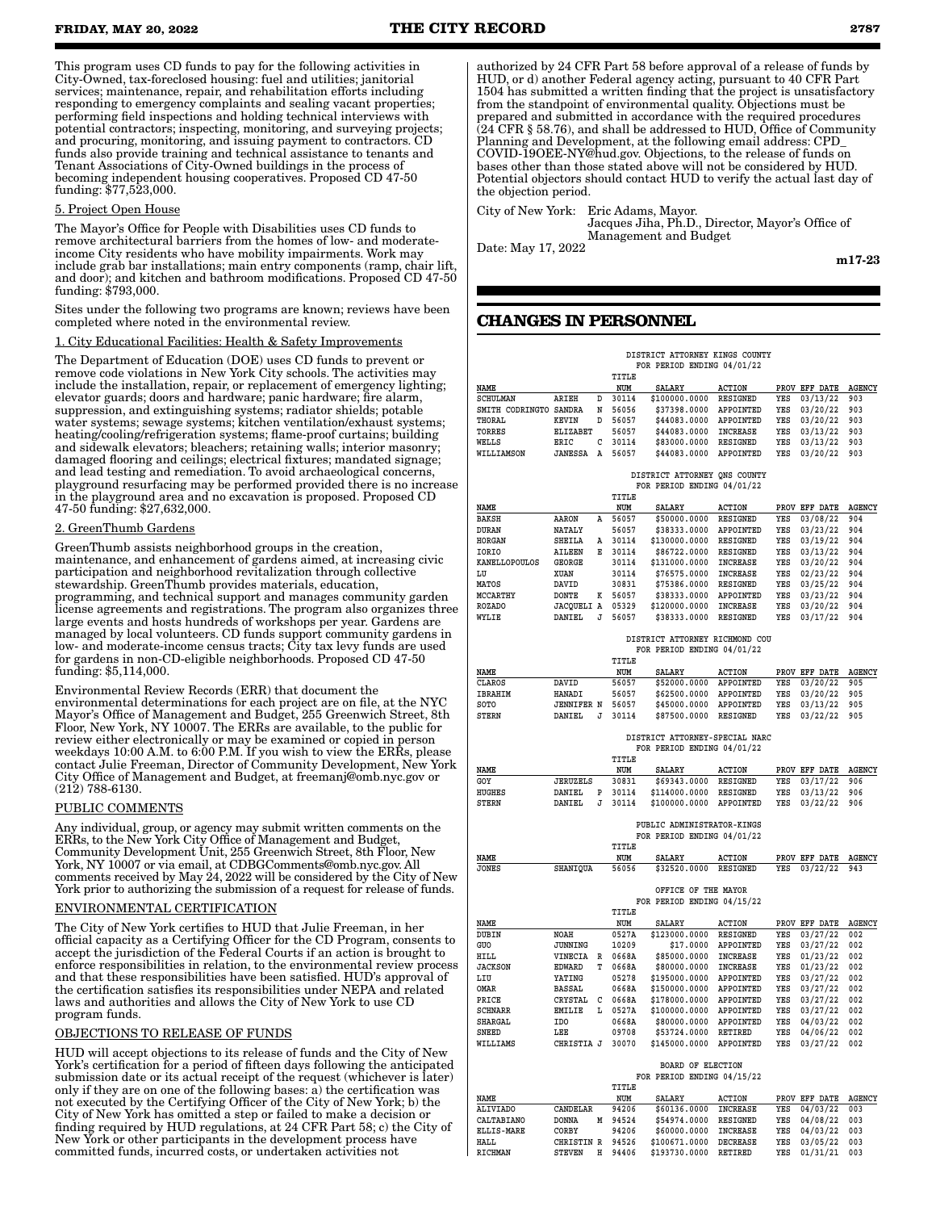This program uses CD funds to pay for the following activities in City-Owned, tax-foreclosed housing: fuel and utilities; janitorial services; maintenance, repair, and rehabilitation efforts including responding to emergency complaints and sealing vacant properties; performing field inspections and holding technical interviews with potential contractors; inspecting, monitoring, and surveying projects; and procuring, monitoring, and issuing payment to contractors. CD funds also provide training and technical assistance to tenants and Tenant Associations of City-Owned buildings in the process of becoming independent housing cooperatives. Proposed CD 47-50 funding: \$77,523,000.

#### 5. Project Open House

The Mayor's Office for People with Disabilities uses CD funds to remove architectural barriers from the homes of low- and moderateincome City residents who have mobility impairments. Work may include grab bar installations; main entry components (ramp, chair lift, and door); and kitchen and bathroom modifications. Proposed CD 47-50 funding: \$793,000.

Sites under the following two programs are known; reviews have been completed where noted in the environmental review.

#### 1. City Educational Facilities: Health & Safety Improvements

The Department of Education (DOE) uses CD funds to prevent or remove code violations in New York City schools. The activities may include the installation, repair, or replacement of emergency lighting; elevator guards; doors and hardware; panic hardware; fire alarm, suppression, and extinguishing systems; radiator shields; potable water systems; sewage systems; kitchen ventilation/exhaust systems; heating/cooling/refrigeration systems; flame-proof curtains; building and sidewalk elevators; bleachers; retaining walls; interior masonry; damaged flooring and ceilings; electrical fixtures; mandated signage; and lead testing and remediation. To avoid archaeological concerns, playground resurfacing may be performed provided there is no increase in the playground area and no excavation is proposed. Proposed CD 47-50 funding: \$27,632,000.

## 2. GreenThumb Gardens

GreenThumb assists neighborhood groups in the creation, maintenance, and enhancement of gardens aimed, at increasing civic participation and neighborhood revitalization through collective stewardship. GreenThumb provides materials, education, programming, and technical support and manages community garden license agreements and registrations. The program also organizes three large events and hosts hundreds of workshops per year. Gardens are managed by local volunteers. CD funds support community gardens in low- and moderate-income census tracts; City tax levy funds are used for gardens in non-CD-eligible neighborhoods. Proposed CD 47-50 funding: \$5,114,000.

Environmental Review Records (ERR) that document the environmental determinations for each project are on file, at the NYC Mayor's Office of Management and Budget, 255 Greenwich Street, 8th Floor, New York, NY 10007. The ERRs are available, to the public for review either electronically or may be examined or copied in person weekdays 10:00 A.M. to 6:00 P.M. If you wish to view the ERRs, please contact Julie Freeman, Director of Community Development, New York City Office of Management and Budget, at freemanj@omb.nyc.gov or (212) 788-6130.

#### PUBLIC COMMENTS

Any individual, group, or agency may submit written comments on the ERRs, to the New York City Office of Management and Budget, Community Development Unit, 255 Greenwich Street, 8th Floor, New York, NY 10007 or via email, at CDBGComments@omb.nyc.gov. All comments received by May 24, 2022 will be considered by the City of New York prior to authorizing the submission of a request for release of funds.

#### ENVIRONMENTAL CERTIFICATION

The City of New York certifies to HUD that Julie Freeman, in her official capacity as a Certifying Officer for the CD Program, consents to accept the jurisdiction of the Federal Courts if an action is brought to enforce responsibilities in relation, to the environmental review process and that these responsibilities have been satisfied. HUD's approval of the certification satisfies its responsibilities under NEPA and related laws and authorities and allows the City of New York to use CD program funds.

#### OBJECTIONS TO RELEASE OF FUNDS

HUD will accept objections to its release of funds and the City of New York's certification for a period of fifteen days following the anticipated submission date or its actual receipt of the request (whichever is later) only if they are on one of the following bases: a) the certification was not executed by the Certifying Officer of the City of New York; b) the City of New York has omitted a step or failed to make a decision or finding required by HUD regulations, at 24 CFR Part 58; c) the City of New York or other participants in the development process have committed funds, incurred costs, or undertaken activities not

authorized by 24 CFR Part 58 before approval of a release of funds by HUD, or d) another Federal agency acting, pursuant to 40 CFR Part 1504 has submitted a written finding that the project is unsatisfactory from the standpoint of environmental quality. Objections must be prepared and submitted in accordance with the required procedures  $(24$  CFR § 58.76), and shall be addressed to HUD, Office of Community Planning and Development, at the following email address: CPD\_ COVID-19OEE-NY@hud.gov. Objections, to the release of funds on bases other than those stated above will not be considered by HUD. Potential objectors should contact HUD to verify the actual last day of the objection period.

City of New York: Eric Adams, Mayor. Jacques Jiha, Ph.D., Director, Mayor's Office of Management and Budget

Date: May 17, 2022

m17-23

# **CHANGES IN PERSONNEL**

|                        | DISTRICT ATTORNEY KINGS COUNTY |        |                |                                                                |                        |            |                                          |               |  |
|------------------------|--------------------------------|--------|----------------|----------------------------------------------------------------|------------------------|------------|------------------------------------------|---------------|--|
|                        |                                |        |                | FOR PERIOD ENDING 04/01/22                                     |                        |            |                                          |               |  |
|                        |                                |        | TITLE          |                                                                |                        |            |                                          |               |  |
| NAME                   |                                |        | NUM            | <b>SALARY</b>                                                  | <b>ACTION</b>          |            | PROV EFF DATE                            | <b>AGENCY</b> |  |
| SCHULMAN               | ARIEH                          | D      | 30114          | \$100000.0000                                                  | RESIGNED               | YES        | 03/13/22                                 | 903           |  |
| SMITH CODRINGTO SANDRA |                                | N      | 56056          | \$37398.0000                                                   | APPOINTED              | YES        | 03/20/22                                 | 903           |  |
| THORAL                 | KEVIN                          | D      | 56057          | \$44083.0000                                                   | APPOINTED              | YES        | 03/20/22                                 | 903           |  |
| <b>TORRES</b>          | ELIZABET<br><b>RRTC</b>        | c      | 56057<br>30114 | \$44083.0000                                                   | INCREASE               | YES<br>YES | 03/13/22                                 | 903<br>903    |  |
| WELLS<br>WILLIAMSON    | <b>JANESSA</b>                 | A      | 56057          | \$83000.0000<br>\$44083.0000                                   | RESIGNED<br>APPOINTED  | YES        | 03/13/22<br>03/20/22                     | 903           |  |
|                        |                                |        |                |                                                                |                        |            |                                          |               |  |
|                        |                                |        |                | DISTRICT ATTORNEY QNS COUNTY                                   |                        |            |                                          |               |  |
|                        |                                |        |                | FOR PERIOD ENDING 04/01/22                                     |                        |            |                                          |               |  |
|                        |                                |        | TITLE          |                                                                |                        |            |                                          |               |  |
| NAME                   |                                |        | NUM            | <b>SALARY</b>                                                  | <b>ACTION</b>          |            | PROV EFF DATE                            | <b>AGENCY</b> |  |
| BAKSH                  | AARON                          | A      | 56057          | \$50000.0000                                                   | RESIGNED               | YES        | 03/08/22                                 | 904           |  |
| DURAN                  | <b>NATALY</b>                  |        | 56057          | \$38333.0000                                                   | APPOINTED              | YES        | 03/23/22                                 | 904           |  |
| HORGAN                 | SHEILA<br>AILEEN               | Α<br>Е | 30114          | \$130000.0000                                                  | <b>RESIGNED</b>        | YES<br>YES | 03/19/22                                 | 904<br>904    |  |
| IORIO<br>KANELLOPOULOS | GEORGE                         |        | 30114<br>30114 | \$86722.0000<br>\$131000.0000                                  | RESIGNED<br>INCREASE   | YES        | 03/13/22<br>03/20/22                     | 904           |  |
| LU                     | XUAN                           |        | 30114          | \$76575.0000                                                   | INCREASE               | YES        | 02/23/22                                 | 904           |  |
| <b>MATOS</b>           | DAVID                          |        | 30831          | \$75386.0000                                                   | <b>RESIGNED</b>        | YES        | 03/25/22                                 | 904           |  |
| MCCARTHY               | DONTE                          | к      | 56057          | \$38333.0000                                                   | APPOINTED              | YES        | 03/23/22                                 | 904           |  |
| <b>ROZADO</b>          | JACQUELI A                     |        | 05329          | \$120000.0000                                                  | INCREASE               | YES        | 03/20/22                                 | 904           |  |
| WYLIE                  | DANIEL                         | J      | 56057          | \$38333.0000                                                   | RESIGNED               | YES        | 03/17/22                                 | 904           |  |
|                        |                                |        |                |                                                                |                        |            |                                          |               |  |
|                        |                                |        |                | DISTRICT ATTORNEY RICHMOND COU                                 |                        |            |                                          |               |  |
|                        |                                |        |                | FOR PERIOD ENDING 04/01/22                                     |                        |            |                                          |               |  |
|                        |                                |        | TITLE          |                                                                |                        |            |                                          |               |  |
| NAME                   |                                |        | NUM            | <b>SALARY</b><br>\$52000.0000                                  | <b>ACTION</b>          |            | PROV EFF DATE                            | <b>AGENCY</b> |  |
| CLAROS<br>IBRAHIM      | DAVID<br>HANADI                |        | 56057<br>56057 | \$62500.0000                                                   | APPOINTED<br>APPOINTED | YES<br>YES | 03/20/22<br>03/20/22                     | 905<br>905    |  |
| SOTO                   | <b>JENNIFER N</b>              |        | 56057          | \$45000.0000                                                   | APPOINTED              | YES        | 03/13/22                                 | 905           |  |
| <b>STERN</b>           | DANIEL                         | J      | 30114          | \$87500.0000                                                   | RESIGNED               | YES        | 03/22/22                                 | 905           |  |
|                        |                                |        |                |                                                                |                        |            |                                          |               |  |
|                        |                                |        |                | DISTRICT ATTORNEY-SPECIAL NARC                                 |                        |            |                                          |               |  |
|                        |                                |        |                | FOR PERIOD ENDING 04/01/22                                     |                        |            |                                          |               |  |
|                        |                                |        |                |                                                                |                        |            |                                          |               |  |
|                        |                                |        | TITLE          |                                                                |                        |            |                                          |               |  |
| NAME                   |                                |        | NUM            | SALARY                                                         | <b>ACTION</b>          |            | PROV EFF DATE                            | <b>AGENCY</b> |  |
| GOY                    | <b>JERUZELS</b>                |        | 30831          | \$69343.0000                                                   | RESIGNED               | YES        | 03/17/22                                 | 906           |  |
| HUGHES                 | DANIEL                         | Р      | 30114          | \$114000.0000                                                  | RESIGNED               | YES        | 03/13/22                                 | 906           |  |
| STERN                  | DANIEL                         | J      | 30114          | \$100000.0000                                                  | APPOINTED              | YES        | 03/22/22                                 | 906           |  |
|                        |                                |        |                |                                                                |                        |            |                                          |               |  |
|                        |                                |        |                | PUBLIC ADMINISTRATOR-KINGS                                     |                        |            |                                          |               |  |
|                        |                                |        | TITLE          | FOR PERIOD ENDING 04/01/22                                     |                        |            |                                          |               |  |
| <b>NAME</b>            |                                |        | NUM            | <b>SALARY</b>                                                  | <b>ACTION</b>          |            | PROV EFF DATE                            | <b>AGENCY</b> |  |
| JONES                  | SHANIQUA                       |        | 56056          | \$32520.0000                                                   | RESIGNED               | YES        | 03/22/22                                 | 943           |  |
|                        |                                |        |                |                                                                |                        |            |                                          |               |  |
|                        |                                |        |                | OFFICE OF THE MAYOR                                            |                        |            |                                          |               |  |
|                        |                                |        |                | FOR PERIOD ENDING 04/15/22                                     |                        |            |                                          |               |  |
|                        |                                |        | TITLE          |                                                                |                        |            |                                          |               |  |
| NAME                   |                                |        | NUM            | SALARY                                                         | <b>ACTION</b>          |            | PROV EFF DATE                            | <b>AGENCY</b> |  |
| DUBIN                  | NOAH                           |        | 0527A          | \$123000.0000                                                  | <b>RESIGNED</b>        | YES        | 03/27/22                                 | 002<br>002    |  |
| GUO<br>HILL            | JUNNING<br>VINECIA             | R      | 10209<br>0668A | \$17.0000<br>\$85000.0000                                      | APPOINTED<br>INCREASE  | YES<br>YES | 03/27/22<br>01/23/22                     | 002           |  |
| <b>JACKSON</b>         | <b>EDWARD</b>                  | т      | 0668A          | \$80000.0000                                                   | INCREASE               | YES        | 01/23/22                                 | 002           |  |
| LIU                    | YATING                         |        | 05278          | \$195000.0000                                                  | APPOINTED              | YES        | 03/27/22                                 | 002           |  |
| OMAR                   | BASSAL                         |        | 0668A          | \$150000.0000                                                  | APPOINTED              | YES        | 03/27/22                                 | 002           |  |
| PRICE                  | CRYSTAL                        | с      | 0668A          | \$178000.0000                                                  | APPOINTED              | YES        | 03/27/22                                 | 002           |  |
| <b>SCHNARR</b>         | EMILIE                         | L      | 0527A          | \$100000.0000                                                  | APPOINTED              | YES        | 03/27/22                                 | 002           |  |
| SHARGAL                | IDO                            |        | 0668A          | \$80000.0000                                                   | APPOINTED              | YES        | 04/03/22                                 | 002           |  |
| <b>SNEED</b>           | LEE                            |        | 09708          | \$53724.0000 RETIRED                                           |                        |            | YES 04/06/22 002                         |               |  |
| WILLIAMS               | CHRISTIA J 30070               |        |                | \$145000.0000 APPOINTED YES 03/27/22 002                       |                        |            |                                          |               |  |
|                        |                                |        |                |                                                                |                        |            |                                          |               |  |
|                        |                                |        |                | BOARD OF ELECTION                                              |                        |            |                                          |               |  |
|                        |                                |        | TITLE          | FOR PERIOD ENDING 04/15/22                                     |                        |            |                                          |               |  |
| NAME                   |                                |        | NUM            | SALARY                                                         |                        |            |                                          |               |  |
| <b>ALIVIADO</b>        | CANDELAR                       |        | 94206          | \$60136.0000 INCREASE                                          | ACTION                 |            | PROV EFF DATE AGENCY<br>YES 04/03/22 003 |               |  |
| CALTABIANO             | DONNA                          |        | M 94524        | \$54974.0000 RESIGNED                                          |                        |            | YES 04/08/22 003                         |               |  |
| <b>ELLIS-MARE</b>      | CORBY                          |        | 94206          | \$60000.0000 INCREASE                                          |                        |            | YES 04/03/22 003                         |               |  |
| HALL<br>RICHMAN        | CHRISTIN R 94526               |        |                | \$100671.0000 DECREASE<br>STEVEN H 94406 \$193730.0000 RETIRED |                        |            | YES 03/05/22 003<br>YES 01/31/21 003     |               |  |